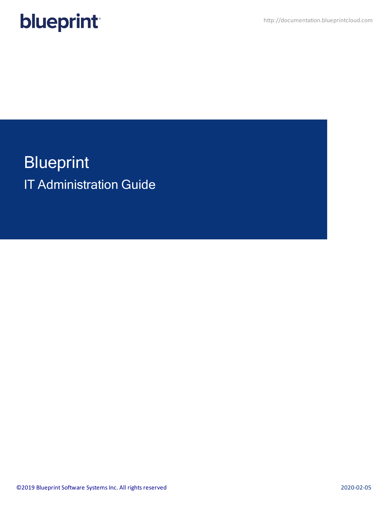

**Blueprint** IT Administration Guide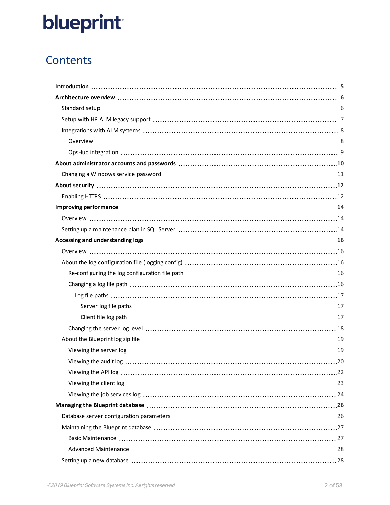## **Contents**

| Improving performance material and the contract of the contract of the contract of the contract of the contract of the contract of the contract of the contract of the contract of the contract of the contract of the contrac |
|--------------------------------------------------------------------------------------------------------------------------------------------------------------------------------------------------------------------------------|
|                                                                                                                                                                                                                                |
|                                                                                                                                                                                                                                |
|                                                                                                                                                                                                                                |
|                                                                                                                                                                                                                                |
|                                                                                                                                                                                                                                |
|                                                                                                                                                                                                                                |
|                                                                                                                                                                                                                                |
|                                                                                                                                                                                                                                |
|                                                                                                                                                                                                                                |
|                                                                                                                                                                                                                                |
|                                                                                                                                                                                                                                |
|                                                                                                                                                                                                                                |
|                                                                                                                                                                                                                                |
|                                                                                                                                                                                                                                |
|                                                                                                                                                                                                                                |
|                                                                                                                                                                                                                                |
|                                                                                                                                                                                                                                |
|                                                                                                                                                                                                                                |
|                                                                                                                                                                                                                                |
|                                                                                                                                                                                                                                |
|                                                                                                                                                                                                                                |
|                                                                                                                                                                                                                                |
|                                                                                                                                                                                                                                |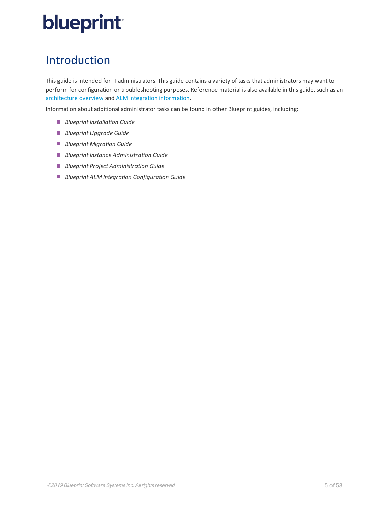## <span id="page-4-0"></span>Introduction

This guide is intended for IT administrators. This guide contains a variety of tasks that administrators may want to perform for configuration or troubleshooting purposes. Reference material is also available in this guide, such as an [architecture](#page-5-0) overview and [ALM integration](#page-7-0) information.

Information about additional administrator tasks can be found in other Blueprint guides, including:

- *Blueprint Installation Guide*
- *Blueprint Upgrade Guide*
- *Blueprint Migration Guide*
- *Blueprint Instance Administration Guide*
- *Blueprint Project Administration Guide*
- *Blueprint ALM Integration Configuration Guide*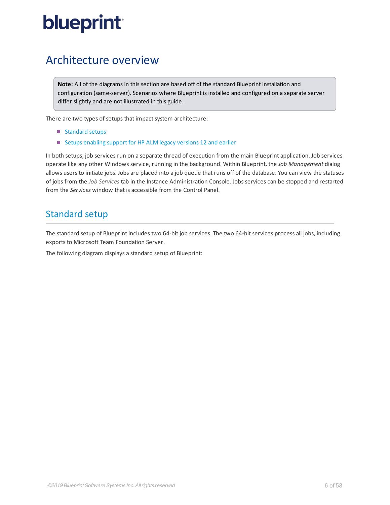## <span id="page-5-0"></span>Architecture overview

**Note:** All of the diagrams in this section are based off of the standard Blueprint installation and configuration (same-server). Scenarios where Blueprint is installed and configured on a separate server differ slightly and are not illustrated in this guide.

There are two types of setups that impact system architecture:

- [Standard](#page-5-1) setups
- Setups enabling support for [HP ALM legacy](#page-6-1) versions 12 and earlier

In both setups, job services run on a separate thread of execution from the main Blueprint application. Job services operate like any other Windows service, running in the background. Within Blueprint, the *Job Management* dialog allows users to initiate jobs. Jobs are placed into a job queue that runs off of the database. You can view the statuses of jobs from the *Job Services* tab in the Instance Administration Console. Jobs services can be stopped and restarted from the *Services* window that is accessible from the Control Panel.

### <span id="page-5-1"></span>Standard setup

The standard setup of Blueprint includes two 64-bit job services. The two 64-bit services process all jobs, including exports to Microsoft Team Foundation Server.

The following diagram displays a standard setup of Blueprint: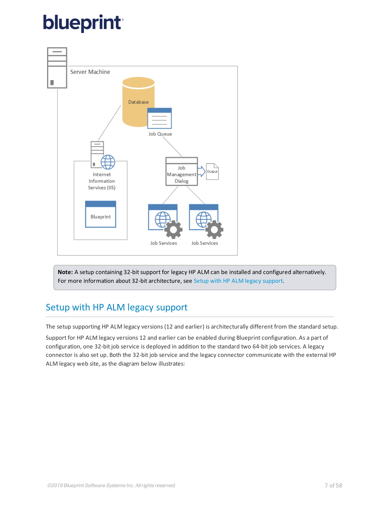

<span id="page-6-0"></span>Note: A setup containing 32-bit support for legacy HP ALM can be installed and configured alternatively. For more information about 32-bit architecture, see Setup with [HP ALM legacy](#page-6-0) support.

## <span id="page-6-1"></span>Setup with HP ALM legacy support

The setup supporting HP ALM legacy versions (12 and earlier) is architecturally different from the standard setup.

Support for HP ALM legacy versions 12 and earlier can be enabled during Blueprint configuration. As a part of configuration, one 32-bit job service is deployed in addition to the standard two 64-bit job services. A legacy connector is also set up. Both the 32-bit job service and the legacy connector communicate with the external HP ALM legacy web site, as the diagram below illustrates: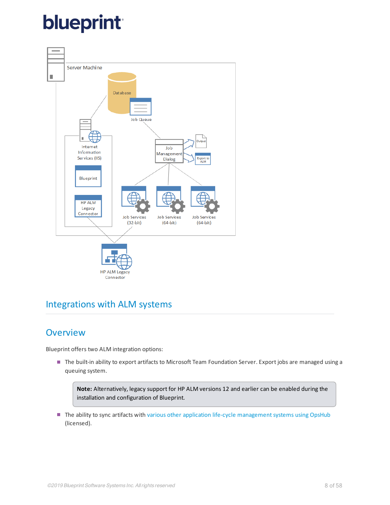

## <span id="page-7-1"></span><span id="page-7-0"></span>Integrations with ALM systems

## **Overview**

Blueprint offers two ALM integration options:

The built-in ability to export artifacts to Microsoft Team Foundation Server. Export jobs are managed using a queuing system.

**Note:** Alternatively, legacy support for HP ALM versions 12 and earlier can be enabled during the installation and configuration of Blueprint.

The ability to sync artifacts with various other application life-cycle management systems using OpsHub (licensed).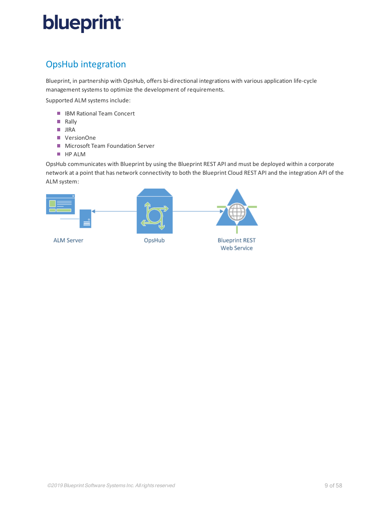## <span id="page-8-0"></span>OpsHub integration

Blueprint, in partnership with OpsHub, offers bi-directional integrations with various application life-cycle management systems to optimize the development of requirements.

Supported ALM systems include:

- IBM Rational Team Concert
- **Rally**
- **JIRA**
- VersionOne
- **Microsoft Team Foundation Server**
- **HP ALM**

OpsHub communicates with Blueprint by using the Blueprint REST API and must be deployed within a corporate network at a point that has network connectivity to both the Blueprint Cloud REST API and the integration API of the ALM system:

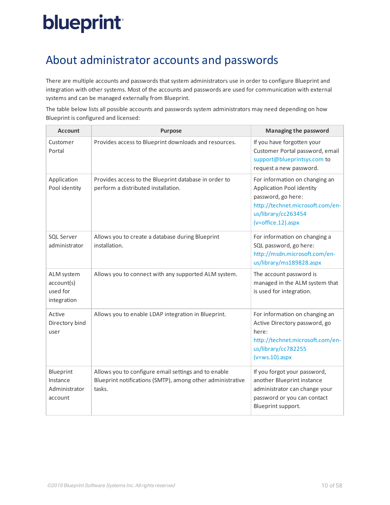## <span id="page-9-0"></span>About administrator accounts and passwords

There are multiple accounts and passwords that system administrators use in order to configure Blueprint and integration with other systems. Most of the accounts and passwords are used for communication with external systems and can be managed externally from Blueprint.

The table below lists all possible accounts and passwords system administrators may need depending on how Blueprint is configured and licensed:

| <b>Account</b>                                      | <b>Purpose</b>                                                                                                               | <b>Managing the password</b>                                                                                                                                                         |
|-----------------------------------------------------|------------------------------------------------------------------------------------------------------------------------------|--------------------------------------------------------------------------------------------------------------------------------------------------------------------------------------|
| Customer<br>Portal                                  | Provides access to Blueprint downloads and resources.                                                                        | If you have forgotten your<br>Customer Portal password, email<br>support@blueprintsys.com to<br>request a new password.                                                              |
| Application<br>Pool identity                        | Provides access to the Blueprint database in order to<br>perform a distributed installation.                                 | For information on changing an<br>Application Pool identity<br>password, go here:<br>http://technet.microsoft.com/en-<br>us/library/cc263454<br>$(v = \text{offset} \cdot 12).$ aspx |
| <b>SQL Server</b><br>administrator                  | Allows you to create a database during Blueprint<br>installation.                                                            | For information on changing a<br>SQL password, go here:<br>http://msdn.microsoft.com/en-<br>us/library/ms189828.aspx                                                                 |
| ALM system<br>account(s)<br>used for<br>integration | Allows you to connect with any supported ALM system.                                                                         | The account password is<br>managed in the ALM system that<br>is used for integration.                                                                                                |
| Active<br>Directory bind<br>user                    | Allows you to enable LDAP integration in Blueprint.                                                                          | For information on changing an<br>Active Directory password, go<br>here:<br>http://technet.microsoft.com/en-<br>us/library/cc782255<br>$(v=ws.10)$ .aspx                             |
| Blueprint<br>Instance<br>Administrator<br>account   | Allows you to configure email settings and to enable<br>Blueprint notifications (SMTP), among other administrative<br>tasks. | If you forgot your password,<br>another Blueprint instance<br>administrator can change your<br>password or you can contact<br>Blueprint support.                                     |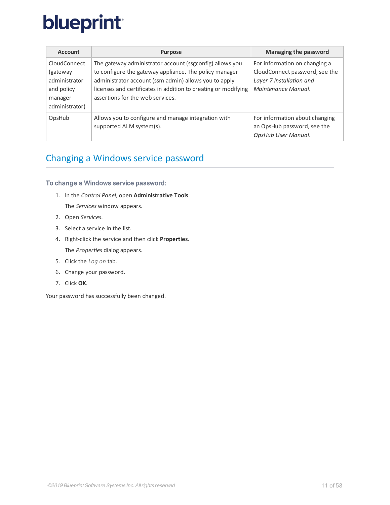| <b>Account</b>                                                                        | <b>Purpose</b>                                                                                                                                                                                                                                                                    | Managing the password                                                                                              |
|---------------------------------------------------------------------------------------|-----------------------------------------------------------------------------------------------------------------------------------------------------------------------------------------------------------------------------------------------------------------------------------|--------------------------------------------------------------------------------------------------------------------|
| CloudConnect<br>(gateway)<br>administrator<br>and policy<br>manager<br>administrator) | The gateway administrator account (ssgconfig) allows you<br>to configure the gateway appliance. The policy manager<br>administrator account (ssm admin) allows you to apply<br>licenses and certificates in addition to creating or modifying<br>assertions for the web services. | For information on changing a<br>CloudConnect password, see the<br>Layer 7 Installation and<br>Maintenance Manual. |
| OpsHub                                                                                | Allows you to configure and manage integration with<br>supported ALM system(s).                                                                                                                                                                                                   | For information about changing<br>an OpsHub password, see the<br>OpsHub User Manual.                               |

## <span id="page-10-0"></span>Changing a Windows service password

### To change a Windows service password:

- 1. In the *Control Panel*, open **Administrative Tools**. The *Services* window appears.
- 2. Open *Services*.
- 3. Select a service in the list.
- 4. Right-click the service and then click **Properties**. The *Properties* dialog appears.
- 5. Click the *Log on* tab.
- 6. Change your password.
- 7. Click **OK**.

Your password has successfully been changed.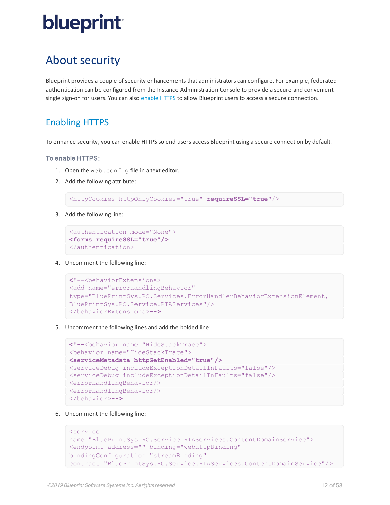## <span id="page-11-0"></span>About security

Blueprint provides a couple of security enhancements that administrators can configure. For example, federated authentication can be configured from the Instance Administration Console to provide a secure and convenient single sign-on for users. You can also [enable](#page-11-1) HTTPS to allow Blueprint users to access a secure connection.

## <span id="page-11-1"></span>Enabling HTTPS

To enhance security, you can enable HTTPS so end users access Blueprint using a secure connection by default.

### To enable HTTPS:

- 1. Open the web.config file in a text editor.
- 2. Add the following attribute:

<httpCookies httpOnlyCookies="true" **requireSSL="true"**/>

3. Add the following line:

```
<authentication mode="None">
<forms requireSSL="true"/>
</authentication>
```
4. Uncomment the following line:

```
<!--<behaviorExtensions>
<add name="errorHandlingBehavior"
type="BluePrintSys.RC.Services.ErrorHandlerBehaviorExtensionElement,
BluePrintSys.RC.Service.RIAServices"/>
</behaviorExtensions>-->
```
5. Uncomment the following lines and add the bolded line:

```
<!--<behavior name="HideStackTrace">
<behavior name="HideStackTrace">
<serviceMetadata httpGetEnabled="true"/>
<serviceDebug includeExceptionDetailInFaults="false"/>
<serviceDebug includeExceptionDetailInFaults="false"/>
<errorHandlingBehavior/>
<errorHandlingBehavior/>
</behavior>-->
```
6. Uncomment the following line:

```
<service
name="BluePrintSys.RC.Service.RIAServices.ContentDomainService">
<endpoint address="" binding="webHttpBinding"
bindingConfiguration="streamBinding"
contract="BluePrintSys.RC.Service.RIAServices.ContentDomainService"/>
```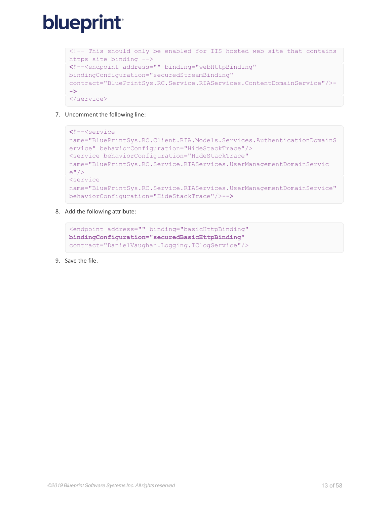```
<!-- This should only be enabled for IIS hosted web site that contains
https site binding -->
<!--<endpoint address="" binding="webHttpBinding"
bindingConfiguration="securedStreamBinding"
contract="BluePrintSys.RC.Service.RIAServices.ContentDomainService"/>-
->
</service>
```
7. Uncomment the following line:

```
<!--<service
name="BluePrintSys.RC.Client.RIA.Models.Services.AuthenticationDomainS
ervice" behaviorConfiguration="HideStackTrace"/>
<service behaviorConfiguration="HideStackTrace"
name="BluePrintSys.RC.Service.RIAServices.UserManagementDomainServic
e'' />
<service
name="BluePrintSys.RC.Service.RIAServices.UserManagementDomainService"
behaviorConfiguration="HideStackTrace"/>-->
```
8. Add the following attribute:

```
<endpoint address="" binding="basicHttpBinding"
bindingConfiguration="securedBasicHttpBinding"
contract="DanielVaughan.Logging.IClogService"/>
```
9. Save the file.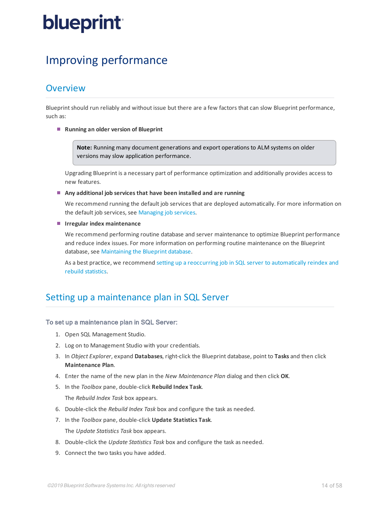## <span id="page-13-0"></span>Improving performance

### <span id="page-13-1"></span>Overview

Blueprint should run reliably and without issue but there are a few factors that can slow Blueprint performance, such as:

**Running an older version of Blueprint**

**Note:** Running many document generations and export operations to ALM systems on older versions may slow application performance.

Upgrading Blueprint is a necessary part of performance optimization and additionally provides access to new features.

**Any additional job services that have been installed and are running**

We recommend running the default job services that are deployed automatically. For more information on the default job services, see [Managing](#page-48-0) job services.

**Irregular index maintenance**

We recommend performing routine database and server maintenance to optimize Blueprint performance and reduce index issues. For more information on performing routine maintenance on the Blueprint database, see [Maintaining](#page-26-0) the Blueprint database.

As a best practice, we recommend setting up a reoccurring job in SQL server to [automatically](#page-52-1) reindex and rebuild [statistics](#page-52-1).

## <span id="page-13-2"></span>Setting up a maintenance plan in SQL Server

### To set up a maintenance plan in SQL Server:

- 1. Open SQL Management Studio.
- 2. Log on to Management Studio with your credentials.
- 3. In *Object Explorer*, expand **Databases**, right-click the Blueprint database, point to **Tasks** and then click **Maintenance Plan**.
- 4. Enter the name of the new plan in the *New Maintenance Plan* dialog and then click **OK**.
- 5. In the *Toolbox* pane, double-click **Rebuild Index Task**.

The *Rebuild Index Task* box appears.

- 6. Double-click the *Rebuild Index Task* box and configure the task as needed.
- 7. In the *Toolbox* pane, double-click **Update Statistics Task**. The *Update Statistics Task* box appears.
- 8. Double-click the *Update Statistics Task* box and configure the task as needed.
- 9. Connect the two tasks you have added.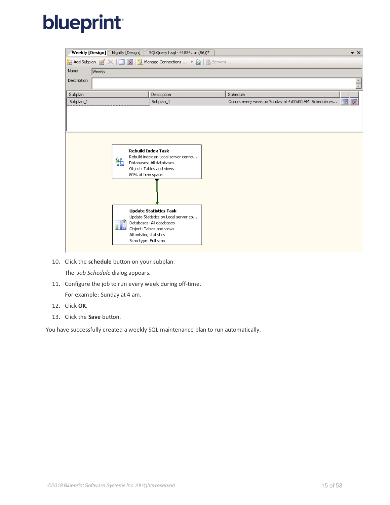| <b>Weekly [Design]</b> Nightly [Design] |                                                                           | SQLQuery1.sql - 41834n (56))*                                                                                                                                                                                                                             |          |                                                        | $\bullet$ $\times$           |
|-----------------------------------------|---------------------------------------------------------------------------|-----------------------------------------------------------------------------------------------------------------------------------------------------------------------------------------------------------------------------------------------------------|----------|--------------------------------------------------------|------------------------------|
| <b>M</b> Add Subplan <b>M</b>           |                                                                           |                                                                                                                                                                                                                                                           |          |                                                        |                              |
| Name<br><b>Weekly</b>                   |                                                                           |                                                                                                                                                                                                                                                           |          |                                                        |                              |
| Description                             |                                                                           |                                                                                                                                                                                                                                                           |          |                                                        |                              |
| Subplan                                 |                                                                           | Description                                                                                                                                                                                                                                               | Schedule |                                                        |                              |
| Subplan_1                               |                                                                           | Subplan_1                                                                                                                                                                                                                                                 |          | Occurs every week on Sunday at 4:00:00 AM. Schedule wi | $\overline{\mathbf{x}}$<br>團 |
|                                         |                                                                           |                                                                                                                                                                                                                                                           |          |                                                        |                              |
|                                         | 铞<br>80% of free space<br>All existing statistics<br>Scan type: Full scan | <b>Rebuild Index Task</b><br>Rebuild index on Local server conne<br>Databases: All databases<br>Object: Tables and views<br><b>Update Statistics Task</b><br>Update Statistics on Local server co<br>Databases: All databases<br>Object: Tables and views |          |                                                        |                              |

10. Click the **schedule** button on your subplan.

The *Job Schedule* dialog appears.

11. Configure the job to run every week during off-time.

For example: Sunday at 4 am.

- 12. Click **OK**.
- 13. Click the **Save** button.

You have successfully created a weekly SQL maintenance plan to run automatically.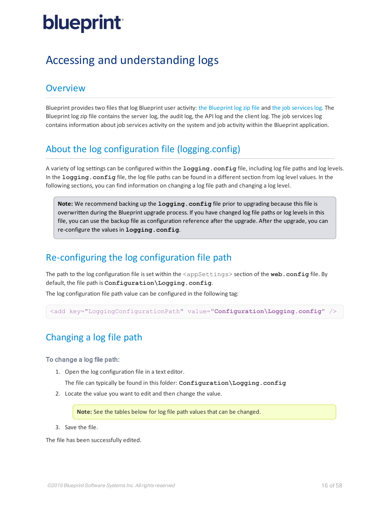## <span id="page-15-0"></span>Accessing and understanding logs

### <span id="page-15-1"></span>**Overview**

Blueprint provides two files that log Blueprint user activity: the [Blueprint](#page-18-0) log zip file and the job [services](#page-23-0) log. The Blueprint log zip file contains the server log, the audit log, the API log and the client log. The job services log contains information about job services activity on the system and job activity within the Blueprint application.

## <span id="page-15-2"></span>About the log configuration file (logging.config)

A variety of log settings can be configured within the **logging.config** file, including log file paths and log levels. In the **logging.config** file, the log file paths can be found in a differentsection from log level values. In the following sections, you can find information on changing a log file path and changing a log level.

**Note:** We recommend backing up the **logging.config** file prior to upgrading because this file is overwritten during the Blueprint upgrade process. If you have changed log file paths or log levels in this file, you can use the backup file as configuration reference after the upgrade. After the upgrade, you can re-configure the values in **logging.config**.

## <span id="page-15-3"></span>Re-configuring the log configuration file path

The path to the log configuration file is set within the <appSettings> section of the web.config file. By default, the file path is **Configuration\Logging.config**.

The log configuration file path value can be configured in the following tag:

<span id="page-15-4"></span><add key="LoggingConfigurationPath" value="**Configuration\Logging.config**" />

## Changing a log file path

### To change a log file path:

1. Open the log configuration file in a text editor.

The file can typically be found in this folder: **Configuration\Logging.config**

2. Locate the value you want to edit and then change the value.

**Note:** See the tables below for log file path values that can be changed.

3. Save the file.

The file has been successfully edited.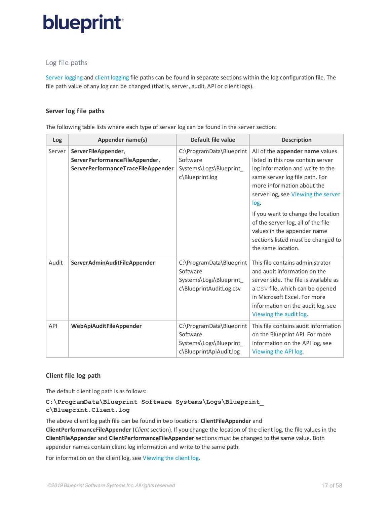### <span id="page-16-0"></span>Log file paths

Server [logging](#page-16-1) and client [logging](#page-16-2) file paths can be found in separate sections within the log configuration file. The file path value of any log can be changed (that is, server, audit, API or client logs).

### <span id="page-16-1"></span>**Server log file paths**

The following table lists where each type of server log can be found in the server section:

| Log    | Appender name(s)                                                                            | Default file value                                                                         | <b>Description</b>                                                                                                                                                                                                                                                                                                                                                                            |
|--------|---------------------------------------------------------------------------------------------|--------------------------------------------------------------------------------------------|-----------------------------------------------------------------------------------------------------------------------------------------------------------------------------------------------------------------------------------------------------------------------------------------------------------------------------------------------------------------------------------------------|
| Server | ServerFileAppender,<br>ServerPerformanceFileAppender,<br>ServerPerformanceTraceFileAppender | C:\ProgramData\Blueprint<br>Software<br>Systems\Logs\Blueprint<br>c\Blueprint.log          | All of the appender name values<br>listed in this row contain server<br>log information and write to the<br>same server log file path. For<br>more information about the<br>server log, see Viewing the server<br>log.<br>If you want to change the location<br>of the server log, all of the file<br>values in the appender name<br>sections listed must be changed to<br>the same location. |
| Audit  | <b>ServerAdminAuditFileAppender</b>                                                         | C:\ProgramData\Blueprint<br>Software<br>Systems\Logs\Blueprint_<br>c\BlueprintAuditLog.csv | This file contains administrator<br>and audit information on the<br>server side. The file is available as<br>a CSV file, which can be opened<br>in Microsoft Excel. For more<br>information on the audit log, see<br>Viewing the audit log.                                                                                                                                                   |
| API    | <b>WebApiAuditFileAppender</b>                                                              | C:\ProgramData\Blueprint<br>Software<br>Systems\Logs\Blueprint_<br>c\BlueprintApiAudit.log | This file contains audit information<br>on the Blueprint API. For more<br>information on the API log, see<br>Viewing the API log.                                                                                                                                                                                                                                                             |

### <span id="page-16-2"></span>**Client file log path**

The default client log path is as follows:

### **C:\ProgramData\Blueprint Software Systems\Logs\Blueprint\_ c\Blueprint.Client.log**

The above client log path file can be found in two locations: **ClientFileAppender** and **ClientPerformanceFileAppender** (*Client*section). If you change the location of the client log, the file values in the **ClientFileAppender** and **ClientPerformanceFileAppender** sections must be changed to the same value. Both appender names contain client log information and write to the same path.

For information on the client log, see [Viewing](#page-22-0) the client log.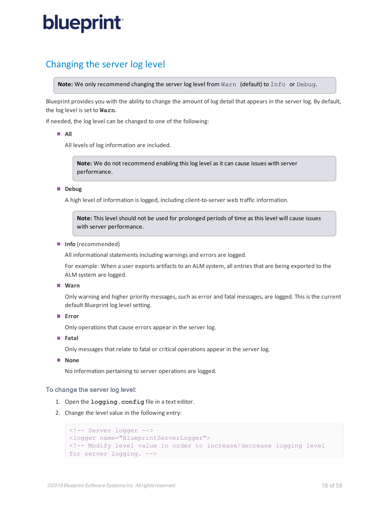## <span id="page-17-0"></span>Changing the server log level

**Note:** We only recommend changing the server log level from Warn (default) to Info or Debug.

Blueprint provides you with the ability to change the amount of log detail that appears in the server log. By default, the log level is set to **Warn**.

If needed, the log level can be changed to one of the following:

**All**

All levels of log information are included.

**Note:** We do not recommend enabling this log level as it can cause issues with server performance.

**Debug** 

A high level of information is logged, including client-to-server web traffic information.

**Note:** This level should not be used for prolonged periods of time as this level will cause issues with server performance.

**Info** (recommended)

All informational statements including warnings and errors are logged.

For example: When a user exports artifacts to an ALM system, all entries that are being exported to the ALM system are logged.

**Warn**

Only warning and higher priority messages, such as error and fatal messages, are logged. This is the current default Blueprint log level setting.

**Error**

Only operations that cause errors appear in the server log.

**Fatal**

Only messages that relate to fatal or critical operations appear in the server log.

**None**

No information pertaining to server operations are logged.

### To change the server log level:

- 1. Open the **logging.config** file in a text editor.
- 2. Change the level value in the following entry:

```
<!-- Server logger -->
<logger name="BlueprintServerLogger">
<!-- Modify level value in order to increase/decrease logging level
for server logging. -->
```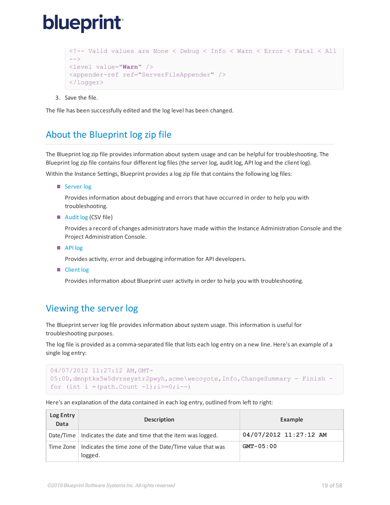```
<!-- Valid values are None < Debug < Info < Warn < Error < Fatal < All
--&<level value="Warn" />
<appender-ref ref="ServerFileAppender" />
</logger>
```
3. Save the file.

<span id="page-18-0"></span>The file has been successfully edited and the log level has been changed.

## About the Blueprint log zip file

The Blueprint log zip file provides information about system usage and can be helpful for troubleshooting. The Blueprint log zip file contains four different log files (the server log, audit log, API log and the client log).

Within the Instance Settings, Blueprint provides a log zip file that contains the following log files:

■ [Server](#page-18-2) log

Provides information about debugging and errors that have occurred in order to help you with troubleshooting.

■ [Audit](#page-19-1) log (CSV file)

Provides a record of changes administrators have made within the Instance Administration Console and the Project Administration Console.

■ [API](#page-21-1) log

Provides activity, error and debugging information for API developers.

<span id="page-18-1"></span>■ [Client](#page-22-1) log

Provides information about Blueprint user activity in order to help you with troubleshooting.

## <span id="page-18-2"></span>Viewing the server log

The Blueprint server log file provides information about system usage. This information is useful for troubleshooting purposes.

The log file is provided as a comma-separated file that lists each log entry on a new line. Here's an example of a single log entry:

```
04/07/2012 11:27:12 AM,GMT-
05:00,dmnptkx5w5dvrseyxtr2pwyh,acme\wecoyote,Info,ChangeSummary - Finish -
for (int i =(path.Count -1); i>=0; i--)
```
Here's an explanation of the data contained in each log entry, outlined from left to right:

| Log Entry<br>Data | <b>Description</b>                                                 | Example                |
|-------------------|--------------------------------------------------------------------|------------------------|
| Date/Time         | Indicates the date and time that the item was logged.              | 04/07/2012 11:27:12 AM |
| Time Zone         | Indicates the time zone of the Date/Time value that was<br>logged. | $GMT - 05:00$          |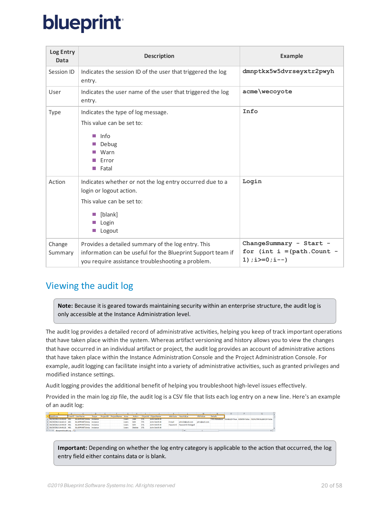| Log Entry<br>Data | <b>Description</b>                                                                                                                                                     | <b>Example</b>                                                              |
|-------------------|------------------------------------------------------------------------------------------------------------------------------------------------------------------------|-----------------------------------------------------------------------------|
| Session ID        | Indicates the session ID of the user that triggered the log<br>entry.                                                                                                  | dmnptkx5w5dvrseyxtr2pwyh                                                    |
| User              | Indicates the user name of the user that triggered the log<br>entry.                                                                                                   | acme\wecoyote                                                               |
| Type              | Indicates the type of log message.<br>This value can be set to:<br>$\blacksquare$ Info<br>■ Debug<br>Warn<br>Error<br>■ Fatal                                          | Info                                                                        |
| Action            | Indicates whether or not the log entry occurred due to a<br>login or logout action.<br>This value can be set to:<br>$\blacksquare$ [blank]<br>Login<br>T T<br>■ Logout | Login                                                                       |
| Change<br>Summary | Provides a detailed summary of the log entry. This<br>information can be useful for the Blueprint Support team if<br>you require assistance troubleshooting a problem. | ChangeSummary - Start -<br>for $(int i = (path.Count -$<br>$1); i>=0; i--)$ |

## <span id="page-19-1"></span><span id="page-19-0"></span>Viewing the audit log

**Note:** Because it is geared towards maintaining security within an enterprise structure, the audit log is only accessible at the Instance Administration level.

The audit log provides a detailed record of administrative activities, helping you keep of track important operations that have taken place within the system. Whereas artifact versioning and history allows you to view the changes that have occurred in an individual artifact or project, the audit log provides an account of administrative actions that have taken place within the Instance Administration Console and the Project Administration Console. For example, audit logging can facilitate insight into a variety of administrative activities, such as granted privileges and modified instance settings.

Audit logging provides the additional benefit of helping you troubleshoot high-level issues effectively.

Provided in the main log zip file, the audit log is a CSV file that lists each log entry on a new line. Here's an example of an audit log:

|                                                   |                                  |       | $\mathbf{r}$ , and $\mathbf{r}$ , and $\mathbf{r}$ |              | $G$ $H$ $1$ |            | $\blacksquare$ . The set of $\blacksquare$ . In the set of $\blacksquare$ |        |                           | M            | <b>AL</b>      | $\Omega$ |                                                              |  |
|---------------------------------------------------|----------------------------------|-------|----------------------------------------------------|--------------|-------------|------------|---------------------------------------------------------------------------|--------|---------------------------|--------------|----------------|----------|--------------------------------------------------------------|--|
| <b>DateTime</b>                                   | UserID UserName                  | Scope | ProjectiD ProjectName Area                         |              |             |            | Action Objectid ObjectName                                                |        | Attribute NewValue        | OldValue     | <b>Details</b> |          |                                                              |  |
| 05/29/2013 14:40:45 401 BLUEPRINT\Itinta Instance |                                  |       |                                                    | <b>Users</b> | Add         | <b>571</b> | <b>John Smith III</b>                                                     |        |                           |              |                |          | TYPE=Database ENABLED=True ADMIN=False FEDAUTHFALLBACK=False |  |
| 05/29/2013 14:43:10 401                           | <b>BLUEPRINT\Itinta</b> Instance |       |                                                    | Users        | Edit        | 571        | John Smith III                                                            | F-mail | iohn23@aol.com            | john@aol.com |                |          |                                                              |  |
| 05/29/2013 14:44:39 401                           | <b>BLUEPRINT\Itinta Instance</b> |       |                                                    | <b>Users</b> | Edit        | 571        | John Smith III                                                            |        | Password Password Changed |              |                |          |                                                              |  |
| 05/29/2013 14:45:21 401                           | <b>BLUEPRINT\Itinta</b> Instance |       |                                                    | Lisers       | Delete 571  |            | John Smith III                                                            |        |                           |              |                |          |                                                              |  |
| <b>B A N PhonetotAuditLon Q1</b>                  |                                  |       |                                                    |              |             |            |                                                                           |        |                           |              |                |          |                                                              |  |

**Important:** Depending on whether the log entry category is applicable to the action that occurred, the log entry field either contains data or is blank.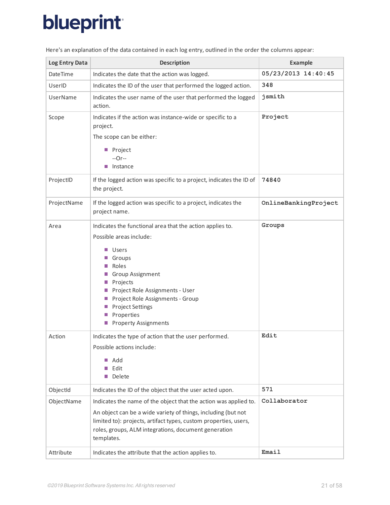| Log Entry Data  | <b>Description</b>                                                                                                                                                                                                                                                                                                         | <b>Example</b>       |
|-----------------|----------------------------------------------------------------------------------------------------------------------------------------------------------------------------------------------------------------------------------------------------------------------------------------------------------------------------|----------------------|
| <b>DateTime</b> | Indicates the date that the action was logged.                                                                                                                                                                                                                                                                             | 05/23/2013 14:40:45  |
| UserID          | Indicates the ID of the user that performed the logged action.                                                                                                                                                                                                                                                             | 348                  |
| UserName        | Indicates the user name of the user that performed the logged<br>action.                                                                                                                                                                                                                                                   | jsmith               |
| Scope           | Indicates if the action was instance-wide or specific to a<br>project.<br>The scope can be either:<br>Project<br>$-0r-$<br>Instance<br>П                                                                                                                                                                                   | Project              |
| ProjectID       | If the logged action was specific to a project, indicates the ID of<br>the project.                                                                                                                                                                                                                                        | 74840                |
| ProjectName     | If the logged action was specific to a project, indicates the<br>project name.                                                                                                                                                                                                                                             | OnlineBankingProject |
| Area            | Indicates the functional area that the action applies to.<br>Possible areas include:<br>Users<br>Groups<br>Roles<br>Group Assignment<br>Projects<br><b>Allen</b><br>Project Role Assignments - User<br>Project Role Assignments - Group<br>and the<br><b>Project Settings</b><br>Properties<br><b>Property Assignments</b> | Groups               |
| Action          | Indicates the type of action that the user performed.<br>Possible actions include:<br>Add<br>m.<br>Edit<br>Delete                                                                                                                                                                                                          | Edit                 |
| ObjectId        | Indicates the ID of the object that the user acted upon.                                                                                                                                                                                                                                                                   | 571                  |
| ObjectName      | Indicates the name of the object that the action was applied to.<br>An object can be a wide variety of things, including (but not<br>limited to): projects, artifact types, custom properties, users,<br>roles, groups, ALM integrations, document generation<br>templates.                                                | Collaborator         |
| Attribute       | Indicates the attribute that the action applies to.                                                                                                                                                                                                                                                                        | Email                |

Here's an explanation of the data contained in each log entry, outlined in the order the columns appear: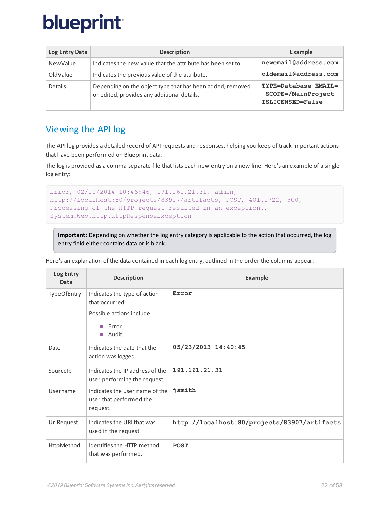| Log Entry Data | <b>Description</b>                                                                                       | Example                                                        |
|----------------|----------------------------------------------------------------------------------------------------------|----------------------------------------------------------------|
| NewValue       | Indicates the new value that the attribute has been set to.                                              | newemail@address.com                                           |
| OldValue       | Indicates the previous value of the attribute.                                                           | oldemail@address.com                                           |
| <b>Details</b> | Depending on the object type that has been added, removed<br>or edited, provides any additional details. | TYPE=Database EMAIL=<br>SCOPE=/MainProject<br>ISLICENSED=False |

## <span id="page-21-1"></span><span id="page-21-0"></span>Viewing the API log

The API log provides a detailed record of API requests and responses, helping you keep of track important actions that have been performed on Blueprint data.

The log is provided as a comma-separate file that lists each new entry on a new line. Here's an example of a single log entry:

```
Error, 02/10/2014 10:46:46, 191.161.21.31, admin,
http://localhost:80/projects/83907/artifacts, POST, 401.1722, 500,
Processing of the HTTP request resulted in an exception.,
System.Web.Http.HttpResponseException
```
**Important:** Depending on whether the log entry category is applicable to the action that occurred, the log entry field either contains data or is blank.

| Log Entry<br>Data | <b>Description</b>                                                    | <b>Example</b>                               |
|-------------------|-----------------------------------------------------------------------|----------------------------------------------|
| TypeOfEntry       | Indicates the type of action<br>that occurred.                        | Error                                        |
|                   | Possible actions include:                                             |                                              |
|                   | $\blacksquare$ Frror<br>■ Audit                                       |                                              |
| Date              | Indicates the date that the<br>action was logged.                     | 05/23/2013 14:40:45                          |
| Sourcelp          | Indicates the IP address of the<br>user performing the request.       | 191.161.21.31                                |
| Username          | Indicates the user name of the<br>user that performed the<br>request. | jsmith                                       |
| UriRequest        | Indicates the URI that was<br>used in the request.                    | http://localhost:80/projects/83907/artifacts |
| HttpMethod        | Identifies the HTTP method<br>that was performed.                     | <b>POST</b>                                  |

Here's an explanation of the data contained in each log entry, outlined in the order the columns appear: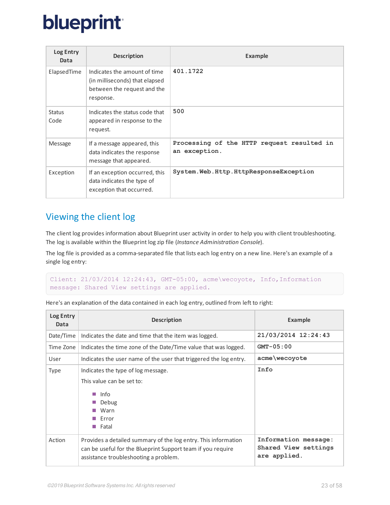| Log Entry<br>Data     | <b>Description</b>                                                                                         | <b>Example</b>                                              |
|-----------------------|------------------------------------------------------------------------------------------------------------|-------------------------------------------------------------|
| ElapsedTime           | Indicates the amount of time<br>(in milliseconds) that elapsed<br>between the request and the<br>response. | 401.1722                                                    |
| <b>Status</b><br>Code | Indicates the status code that<br>appeared in response to the<br>request.                                  | 500                                                         |
| <b>Message</b>        | If a message appeared, this<br>data indicates the response<br>message that appeared.                       | Processing of the HTTP request resulted in<br>an exception. |
| Exception             | If an exception occurred, this<br>data indicates the type of<br>exception that occurred.                   | System. Web. Http. HttpResponseException                    |

## <span id="page-22-1"></span><span id="page-22-0"></span>Viewing the client log

The client log provides information about Blueprint user activity in order to help you with client troubleshooting. The log is available within the Blueprint log zip file (*Instance Administration Console*).

The log file is provided as a comma-separated file that lists each log entry on a new line. Here's an example of a single log entry:

```
Client: 21/03/2014 12:24:43, GMT-05:00, acme\wecoyote, Info,Information
message: Shared View settings are applied.
```

| Log Entry<br>Data | <b>Description</b>                                                                                                                                                     | <b>Example</b>                                               |
|-------------------|------------------------------------------------------------------------------------------------------------------------------------------------------------------------|--------------------------------------------------------------|
| Date/Time         | Indicates the date and time that the item was logged.                                                                                                                  | 21/03/2014 12:24:43                                          |
| Time Zone         | Indicates the time zone of the Date/Time value that was logged.                                                                                                        | $GMT - 05:00$                                                |
| User              | Indicates the user name of the user that triggered the log entry.                                                                                                      | acme\wecoyote                                                |
| <b>Type</b>       | Indicates the type of log message.<br>This value can be set to:<br>∎ Info<br>Debug<br>Warn<br>Error<br>Fatal<br><b>The Second</b>                                      | Info                                                         |
| Action            | Provides a detailed summary of the log entry. This information<br>can be useful for the Blueprint Support team if you require<br>assistance troubleshooting a problem. | Information message:<br>Shared View settings<br>are applied. |

Here's an explanation of the data contained in each log entry, outlined from left to right: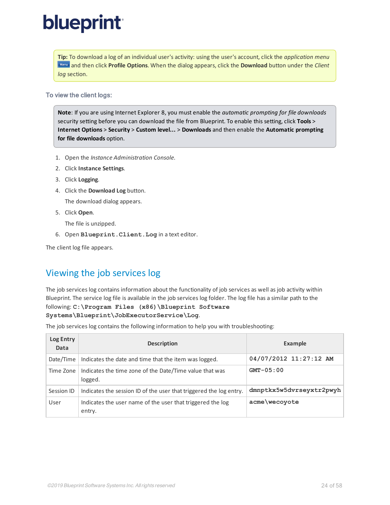**Tip:** To download a log of an individual user's activity: using the user's account, click the *application menu* and then click **Profile Options**. When the dialog appears, click the **Download** button under the *Client log* section.

### To view the client logs:

**Note**: If you are using Internet Explorer 8, you must enable the *automatic prompting for file downloads* security setting before you can download the file from Blueprint. To enable this setting, click **Tools** > **Internet Options** > **Security** > **Custom level...** > **Downloads** and then enable the **Automatic prompting for file downloads** option.

- 1. Open the *Instance Administration Console*.
- 2. Click **Instance Settings**.
- 3. Click **Logging**.
- 4. Click the **Download Log** button.

The download dialog appears.

5. Click **Open**.

The file is unzipped.

6. Open **Blueprint.Client.Log** in a text editor.

<span id="page-23-0"></span>The client log file appears.

## Viewing the job services log

The job services log contains information about the functionality of job services as well as job activity within Blueprint. The service log file is available in the job services log folder. The log file has a similar path to the following: **C:\Program Files (x86)\Blueprint Software Systems\Blueprint\JobExecutorService\Log**.

The job services log contains the following information to help you with troubleshooting:

| Log Entry<br>Data | <b>Description</b>                                                   | Example                  |
|-------------------|----------------------------------------------------------------------|--------------------------|
| Date/Time         | Indicates the date and time that the item was logged.                | 04/07/2012 11:27:12 AM   |
| Time Zone         | Indicates the time zone of the Date/Time value that was<br>logged.   | $GMT - 05:00$            |
| Session ID        | Indicates the session ID of the user that triggered the log entry.   | dmnptkx5w5dvrseyxtr2pwyh |
| User              | Indicates the user name of the user that triggered the log<br>entry. | acme\wecoyote            |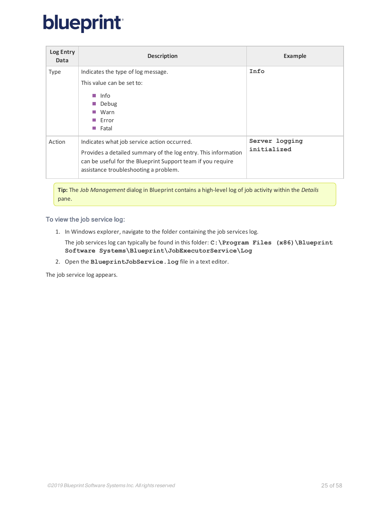| Log Entry<br>Data | <b>Description</b>                                                                                                                                                     | <b>Example</b> |
|-------------------|------------------------------------------------------------------------------------------------------------------------------------------------------------------------|----------------|
| <b>Type</b>       | Indicates the type of log message.                                                                                                                                     | Info           |
|                   | This value can be set to:                                                                                                                                              |                |
|                   | Info                                                                                                                                                                   |                |
|                   | Debug                                                                                                                                                                  |                |
|                   | Warn                                                                                                                                                                   |                |
|                   | $\blacksquare$ Error                                                                                                                                                   |                |
|                   | Fatal                                                                                                                                                                  |                |
| Action            | Indicates what job service action occurred.                                                                                                                            | Server logging |
|                   | Provides a detailed summary of the log entry. This information<br>can be useful for the Blueprint Support team if you require<br>assistance troubleshooting a problem. | initialized    |

**Tip:** The *Job Management* dialog in Blueprint contains a high-level log of job activity within the *Details* pane.

### To view the job service log:

1. In Windows explorer, navigate to the folder containing the job services log.

The job services log can typically be found in this folder: **C:\Program Files (x86)\Blueprint Software Systems\Blueprint\JobExecutorService\Log**

2. Open the **BlueprintJobService.log** file in a text editor.

The job service log appears.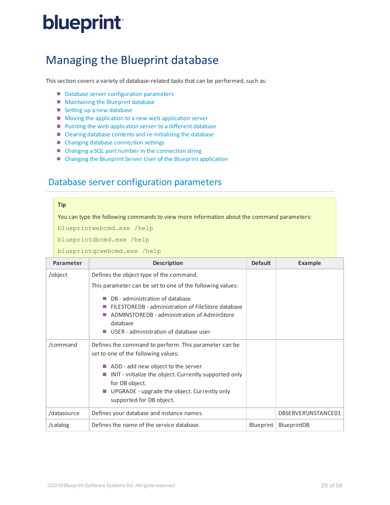## <span id="page-25-0"></span>Managing the Blueprint database

This section covers a variety of database-related tasks that can be performed, such as:

- Database [server configuration](#page-26-0) parameters
- **Maintaining the Blueprint database**
- Setting up a new [database](#page-27-1)
- Moving the [application](#page-28-0) to a new web application server
- **Pointing the web [application](#page-28-1) server to a different database**
- Clearing database contents and [re-initializing](#page-29-0) the database
- Changing database [connection](#page-29-1) settings
- Changing a SQL port number in the [connection](#page-41-1) string
- <span id="page-25-1"></span>■ Changing the Blueprint Server User of the Blueprint [application](#page-30-0)

## Database server configuration parameters

#### **Tip**

You can type the following commands to view more information about the command parameters:

blueprintwebcmd.exe /help

blueprintdbcmd.exe /help

blueprintqcwebcmd.exe /help

| Parameter   | <b>Description</b>                                                                                                                                                                              | <b>Default</b> | <b>Example</b>      |
|-------------|-------------------------------------------------------------------------------------------------------------------------------------------------------------------------------------------------|----------------|---------------------|
| /object     | Defines the object type of the command.                                                                                                                                                         |                |                     |
|             | This parameter can be set to one of the following values:                                                                                                                                       |                |                     |
|             | DB - administration of database<br>FILESTOREDB - administration of FileStore database<br>ADMINSTOREDB - administration of AdminStore<br>П<br>database<br>USER - administration of database user |                |                     |
| /command    | Defines the command to perform. This parameter can be<br>set to one of the following values:                                                                                                    |                |                     |
|             | ADD - add new object to the server<br>INIT - initialize the object. Currently supported only<br>for DB object.<br>UPGRADE - upgrade the object. Currently only<br>supported for DB object.      |                |                     |
| /datasource | Defines your database and instance names.                                                                                                                                                       |                | DBSERVER\INSTANCE01 |
| /catalog    | Defines the name of the service database.                                                                                                                                                       | Blueprint      | BlueprintDB         |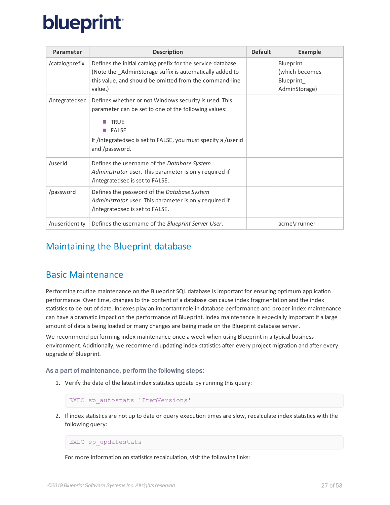| Parameter      | <b>Description</b>                                                                                                                                                                                                              | <b>Default</b> | <b>Example</b>                                             |
|----------------|---------------------------------------------------------------------------------------------------------------------------------------------------------------------------------------------------------------------------------|----------------|------------------------------------------------------------|
| /catalogprefix | Defines the initial catalog prefix for the service database.<br>(Note the _AdminStorage suffix is automatically added to<br>this value, and should be omitted from the command-line<br>value.)                                  |                | Blueprint<br>(which becomes<br>Blueprint_<br>AdminStorage) |
| /integratedsec | Defines whether or not Windows security is used. This<br>parameter can be set to one of the following values:<br><b>TRUE</b><br><b>FALSE</b><br>If /integratedsec is set to FALSE, you must specify a /userid<br>and /password. |                |                                                            |
| /userid        | Defines the username of the Database System<br>Administrator user. This parameter is only required if<br>/integratedsec is set to FALSE.                                                                                        |                |                                                            |
| /password      | Defines the password of the Database System<br>Administrator user. This parameter is only required if<br>/integratedsec is set to FALSE.                                                                                        |                |                                                            |
| /nuseridentity | Defines the username of the Blueprint Server User.                                                                                                                                                                              |                | acme\rrunner                                               |

## <span id="page-26-0"></span>Maintaining the Blueprint database

### <span id="page-26-1"></span>Basic Maintenance

Performing routine maintenance on the Blueprint SQL database is important for ensuring optimum application performance. Over time, changes to the content of a database can cause index fragmentation and the index statistics to be out of date. Indexes play an important role in database performance and proper index maintenance can have a dramatic impact on the performance of Blueprint. Index maintenance is especially important if a large amount of data is being loaded or many changes are being made on the Blueprint database server.

We recommend performing index maintenance once a week when using Blueprint in a typical business environment. Additionally, we recommend updating index statistics after every project migration and after every upgrade of Blueprint.

### As a part of maintenance, perform the following steps:

1. Verify the date of the latest index statistics update by running this query:

```
EXEC sp_autostats 'ItemVersions'
```
2. If index statistics are not up to date or query execution times are slow, recalculate index statistics with the following query:

EXEC sp\_updatestats

For more information on statistics recalculation, visit the following links: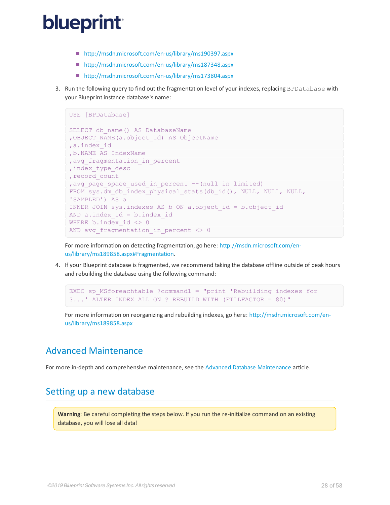- <http://msdn.microsoft.com/en-us/library/ms190397.aspx>
- <http://msdn.microsoft.com/en-us/library/ms187348.aspx>
- <http://msdn.microsoft.com/en-us/library/ms173804.aspx>
- 3. Run the following query to find out the fragmentation level of your indexes, replacing BPDatabase with your Blueprint instance database's name:

```
USE [BPDatabase]
SELECT db name() AS DatabaseName
,OBJECT_NAME(a.object_id) AS ObjectName
,a.index_id
,b.NAME AS IndexName
, avg fragmentation in percent
, index type desc
, record count
, avg page space used in percent -- (null in limited)
FROM sys.dm db_index_physical_stats(db_id(), NULL, NULL, NULL,
'SAMPLED') AS a
INNER JOIN sys.indexes AS b ON a.object_id = b.object_id
AND a.index id = b.index idWHERE b.index id \leq 0
AND avg fragmentation in percent \langle \rangle 0
```
For more information on detecting fragmentation, go here: [http://msdn.microsoft.com/en](http://msdn.microsoft.com/en-us/library/ms189858.aspx#Fragmentation)[us/library/ms189858.aspx#Fragmentation](http://msdn.microsoft.com/en-us/library/ms189858.aspx#Fragmentation).

4. If your Blueprint database is fragmented, we recommend taking the database offline outside of peak hours and rebuilding the database using the following command:

```
EXEC sp_MSforeachtable @command1 = "print 'Rebuilding indexes for
?...' ALTER INDEX ALL ON ? REBUILD WITH (FILLFACTOR = 80)"
```
For more information on reorganizing and rebuilding indexes, go here: [http://msdn.microsoft.com/en](http://msdn.microsoft.com/en-us/library/ms189858.aspx)[us/library/ms189858.aspx](http://msdn.microsoft.com/en-us/library/ms189858.aspx)

## <span id="page-27-0"></span>Advanced Maintenance

<span id="page-27-1"></span>For more in-depth and comprehensive maintenance, see the Advanced Database [Maintenance](http://documentation.blueprintcloud.com/Blueprint10.3/pdf/Advanced_Database_Maintenance.pdf) article.

## Setting up a new database

**Warning**: Be careful completing the steps below. If you run the re-initialize command on an existing database, you will lose all data!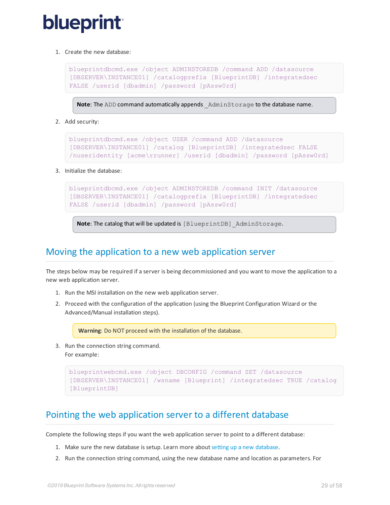1. Create the new database:

```
blueprintdbcmd.exe /object ADMINSTOREDB /command ADD /datasource
[DBSERVER\INSTANCE01] /catalogprefix [BlueprintDB] /integratedsec
FALSE /userid [dbadmin] /password [pAssw0rd]
```
**Note:** The ADD command automatically appends AdminStorage to the database name.

2. Add security:

```
blueprintdbcmd.exe /object USER /command ADD /datasource
[DBSERVER\INSTANCE01] /catalog [BlueprintDB] /integratedsec FALSE
/nuseridentity [acme\rrunner] /userid [dbadmin] /password [pAssw0rd]
```
3. Initialize the database:

```
blueprintdbcmd.exe /object ADMINSTOREDB /command INIT /datasource
[DBSERVER\INSTANCE01] /catalogprefix [BlueprintDB] /integratedsec
FALSE /userid [dbadmin] /password [pAssw0rd]
```
**Note:** The catalog that will be updated is [BlueprintDB] AdminStorage.

### <span id="page-28-0"></span>Moving the application to a new web application server

The steps below may be required if a server is being decommissioned and you want to move the application to a new web application server.

- 1. Run the MSI installation on the new web application server.
- 2. Proceed with the configuration of the application (using the Blueprint Configuration Wizard or the Advanced/Manual installation steps).

**Warning**: Do NOT proceed with the installation of the database.

3. Run the connection string command. For example:

```
blueprintwebcmd.exe /object DBCONFIG /command SET /datasource
[DBSERVER\INSTANCE01] /wsname [Blueprint] /integratedsec TRUE /catalog
[BlueprintDB]
```
## Pointing the web application server to a different database

Complete the following steps if you want the web application server to point to a different database:

- 1. Make sure the new database is setup. Learn more aboutsetting up a new [database](#page-49-0).
- 2. Run the connection string command, using the new database name and location as parameters. For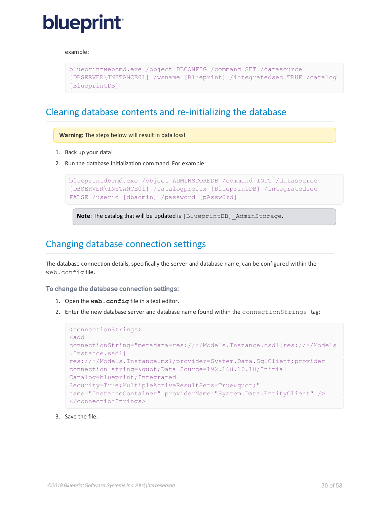#### example:

```
blueprintwebcmd.exe /object DBCONFIG /command SET /datasource
[DBSERVER\INSTANCE01] /wsname [Blueprint] /integratedsec TRUE /catalog
[BlueprintDB]
```
### Clearing database contents and re-initializing the database

**Warning**: The steps below will result in data loss!

- 1. Back up your data!
- 2. Run the database initialization command. For example:

```
blueprintdbcmd.exe /object ADMINSTOREDB /command INIT /datasource
[DBSERVER\INSTANCE01] /catalogprefix [BlueprintDB] /integratedsec
FALSE /userid [dbadmin] /password [pAssw0rd]
```
**Note:** The catalog that will be updated is [BlueprintDB] AdminStorage.

### <span id="page-29-1"></span>Changing database connection settings

The database connection details, specifically the server and database name, can be configured within the web.config file.

### To change the database connection settings:

- 1. Open the **web.config** file in a text editor.
- 2. Enter the new database server and database name found within the connectionStrings tag:

```
<connectionStrings>
<add
connectionString="metadata=res://*/Models.Instance.csdl|res://*/Models
.Instance.ssdl|
res://*/Models.Instance.msl;provider=System.Data.SqlClient;provider
connection string=" Data Source=192.168.10.10; Initial
Catalog=blueprint;Integrated
Security=True; MultipleActiveResultSets=True & quot; "
name="InstanceContainer" providerName="System.Data.EntityClient" />
</connectionStrings>
```
3. Save the file.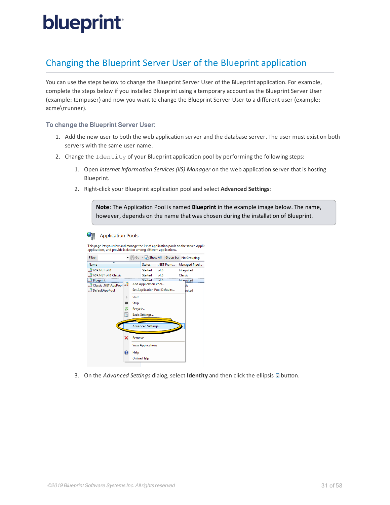## <span id="page-30-0"></span>Changing the Blueprint Server User of the Blueprint application

You can use the steps below to change the Blueprint Server User of the Blueprint application. For example, complete the steps below if you installed Blueprint using a temporary account as the Blueprint Server User (example: tempuser) and now you want to change the Blueprint Server User to a different user (example: acme\rrunner).

### To change the Blueprint Server User:

- 1. Add the new user to both the web application server and the database server. The user must exist on both servers with the same user name.
- 2. Change the Identity of your Blueprint application pool by performing the following steps:
	- 1. Open *Internet Information Services (IIS) Manager* on the web application server that is hosting Blueprint.
	- 2. Right-click your Blueprint application pool and select **Advanced Settings**:

**Note**: The Application Pool is named **Blueprint** in the example image below. The name, however, depends on the name that was chosen during the installation of Blueprint.





3. On the *Advanced Settings* dialog, select **Identity** and then click the ellipsis **button**.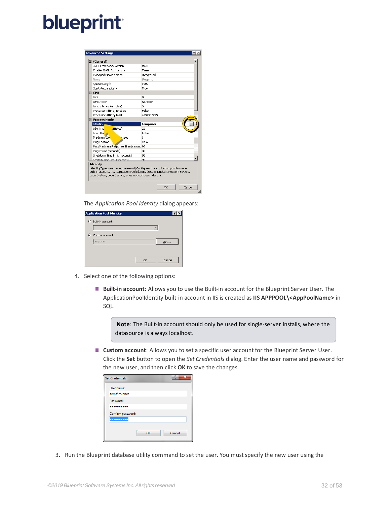| .NET Framework Version<br>Enable 32-Bit Applications<br>Managed Pipeline Mode<br>Name | v4.0         |
|---------------------------------------------------------------------------------------|--------------|
|                                                                                       |              |
|                                                                                       | True         |
|                                                                                       | Integrated   |
|                                                                                       | Blueprint    |
| Queue Length                                                                          | 1000         |
| Start Automatically                                                                   | True         |
| □ CPU                                                                                 |              |
| I imit                                                                                | n            |
| Limit Action                                                                          | NoAction     |
| Limit Interval (minutes)                                                              | 5            |
| Processor Affinity Enabled                                                            | <b>False</b> |
| Processor Affinity Mask                                                               | 4294967295   |
| □ Process Model                                                                       |              |
|                                                                                       |              |
| Identity                                                                              | tempuser     |
| <b>Idle Time</b><br>ametes)                                                           | 20           |
| Load Use                                                                              | False        |
| Maximum Wo<br>esses                                                                   | $\mathbf{1}$ |
| Ping Enabled                                                                          | True         |
| Ping Maximum Response Time (second 90                                                 |              |
| Ping Period (seconds)                                                                 | 30           |
| Shutdown Time Limit (seconds)                                                         | 90           |

The *Application Pool Identity* dialog appears:

| <b>Application Pool Identity</b> |              | <b>71</b> |
|----------------------------------|--------------|-----------|
| c<br>Built-in account:           |              |           |
|                                  |              |           |
|                                  |              |           |
| G.<br>Custom account:            |              |           |
| tempuser                         | Set          |           |
|                                  |              |           |
|                                  |              |           |
|                                  | Cancel<br>OK |           |
|                                  |              |           |

- 4. Select one of the following options:
	- **Built-in account**: Allows you to use the Built-in account for the Blueprint Server User. The ApplicationPoolIdentity built-in account in IIS is created as **IIS APPPOOL\<AppPoolName>** in SQL.

Note: The Built-in account should only be used for single-server installs, where the datasource is always localhost.

**Custom account**: Allows you to set a specific user account for the Blueprint Server User. Click the **Set** button to open the *Set Credentials* dialog. Enter the user name and password for the new user, and then click **OK** to save the changes.

| <b>Set Credentials</b> |    | ×<br>Đ |
|------------------------|----|--------|
| User name:             |    |        |
| acme\rrunner           |    |        |
| Password:              |    |        |
| .                      |    |        |
| Confirm password:      |    |        |
|                        |    |        |
|                        |    |        |
|                        | OK | Cancel |
|                        |    |        |

3. Run the Blueprint database utility command to set the user. You mustspecify the new user using the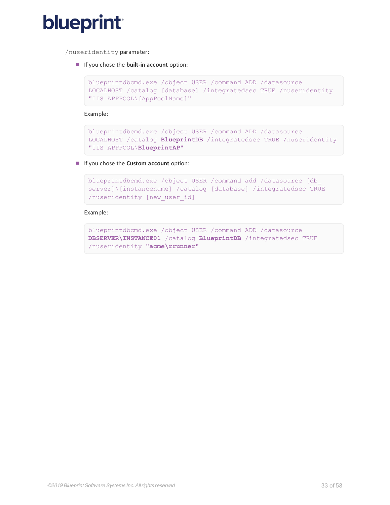

/nuseridentity parameter:

If you chose the **built-in account** option:

```
blueprintdbcmd.exe /object USER /command ADD /datasource
LOCALHOST /catalog [database] /integratedsec TRUE /nuseridentity
"IIS APPPOOL\[AppPoolName]"
```
Example:

```
blueprintdbcmd.exe /object USER /command ADD /datasource
LOCALHOST /catalog BlueprintDB /integratedsec TRUE /nuseridentity
"IIS APPPOOL\BlueprintAP"
```
If you chose the **Custom account** option:

```
blueprintdbcmd.exe /object USER /command add /datasource [db_
server]\[instancename] /catalog [database] /integratedsec TRUE
/nuseridentity [new_user_id]
```
#### Example:

```
blueprintdbcmd.exe /object USER /command ADD /datasource
DBSERVER\INSTANCE01 /catalog BlueprintDB /integratedsec TRUE
/nuseridentity "acme\rrunner"
```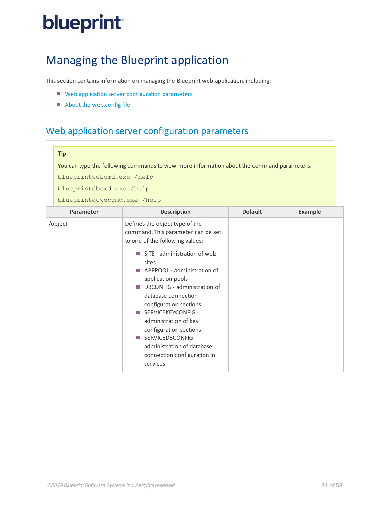## <span id="page-33-0"></span>Managing the Blueprint application

This section contains information on managing the Blueprint web application, including:

- Web application server [configuration](#page-33-1) parameters
- <span id="page-33-1"></span>■ About the [web.config](#page-35-0) file

## Web application server configuration parameters

#### **Tip**

You can type the following commands to view more information about the command parameters:

blueprintwebcmd.exe /help

blueprintdbcmd.exe /help

blueprintqcwebcmd.exe /help

| Parameter | <b>Description</b>                                                                                                                                                                                                                                                                                                                                                                                                                                                                                                                                                                                                                                                                                                                                       | <b>Default</b> | <b>Example</b> |
|-----------|----------------------------------------------------------------------------------------------------------------------------------------------------------------------------------------------------------------------------------------------------------------------------------------------------------------------------------------------------------------------------------------------------------------------------------------------------------------------------------------------------------------------------------------------------------------------------------------------------------------------------------------------------------------------------------------------------------------------------------------------------------|----------------|----------------|
| /object   | Defines the object type of the<br>command. This parameter can be set<br>to one of the following values:<br>SITE - administration of web<br><b>The Contract of the Contract of the Contract of the Contract of the Contract of the Contract of the Contract of the Contract of the Contract of the Contract of the Contract of the Contract of The Contract of The Contract </b><br>sites<br>APPPOOL - administration of<br><b>The State</b><br>application pools<br>DBCONFIG - administration of<br><b>In</b><br>database connection<br>configuration sections<br>■ SERVICEKEYCONFIG -<br>administration of key<br>configuration sections<br>SERVICEDBCONFIG -<br><b>The Co</b><br>administration of database<br>connection configuration in<br>services |                |                |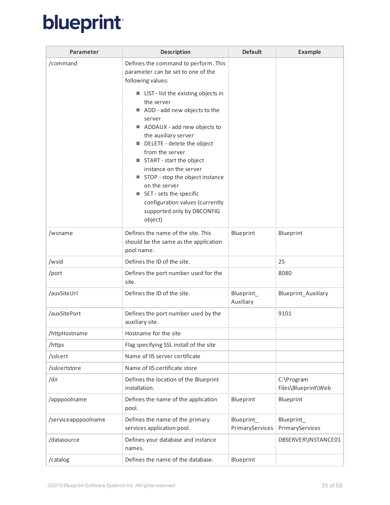| Parameter           | <b>Description</b>                                                                                                                                                                                                                                                                                                                                                                                                                                                                                                        | <b>Default</b>                | <b>Example</b>                    |
|---------------------|---------------------------------------------------------------------------------------------------------------------------------------------------------------------------------------------------------------------------------------------------------------------------------------------------------------------------------------------------------------------------------------------------------------------------------------------------------------------------------------------------------------------------|-------------------------------|-----------------------------------|
| /command            | Defines the command to perform. This<br>parameter can be set to one of the<br>following values:<br>■ LIST - list the existing objects in<br>the server<br>ADD - add new objects to the<br>server<br>ADDAUX - add new objects to<br>the auxiliary server<br>DELETE - delete the object<br>from the server<br>START - start the object<br>instance on the server<br>STOP - stop the object instance<br>on the server<br>SET - sets the specific<br>configuration values (currently<br>supported only by DBCONFIG<br>object) |                               |                                   |
| /wsname             | Defines the name of the site. This<br>should be the same as the application<br>pool name.                                                                                                                                                                                                                                                                                                                                                                                                                                 | Blueprint                     | Blueprint                         |
| /wsid               | Defines the ID of the site.                                                                                                                                                                                                                                                                                                                                                                                                                                                                                               |                               | 25                                |
| /port               | Defines the port number used for the<br>site.                                                                                                                                                                                                                                                                                                                                                                                                                                                                             |                               | 8080                              |
| /auxSiteUrl         | Defines the ID of the site.                                                                                                                                                                                                                                                                                                                                                                                                                                                                                               | Blueprint_<br>Auxiliary       | Blueprint_Auxiliary               |
| /auxSitePort        | Defines the port number used by the<br>auxiliary site.                                                                                                                                                                                                                                                                                                                                                                                                                                                                    |                               | 9101                              |
| /httpHostname       | Hostname for the site                                                                                                                                                                                                                                                                                                                                                                                                                                                                                                     |                               |                                   |
| /https              | Flag specifying SSL install of the site                                                                                                                                                                                                                                                                                                                                                                                                                                                                                   |                               |                                   |
| /sslcert            | Name of IIS server certificate                                                                                                                                                                                                                                                                                                                                                                                                                                                                                            |                               |                                   |
| /sslcertstore       | Name of IIS certificate store                                                                                                                                                                                                                                                                                                                                                                                                                                                                                             |                               |                                   |
| /dir                | Defines the location of the Blueprint<br>installation.                                                                                                                                                                                                                                                                                                                                                                                                                                                                    |                               | C:\Program<br>Files\Blueprint\Web |
| /apppoolname        | Defines the name of the application<br>pool.                                                                                                                                                                                                                                                                                                                                                                                                                                                                              | Blueprint                     | Blueprint                         |
| /serviceapppoolname | Defines the name of the primary<br>services application pool.                                                                                                                                                                                                                                                                                                                                                                                                                                                             | Blueprint_<br>PrimaryServices | Blueprint_<br>PrimaryServices     |
| /datasource         | Defines your database and instance<br>names.                                                                                                                                                                                                                                                                                                                                                                                                                                                                              |                               | DBSERVER\INSTANCE01               |
| /catalog            | Defines the name of the database.                                                                                                                                                                                                                                                                                                                                                                                                                                                                                         | Blueprint                     |                                   |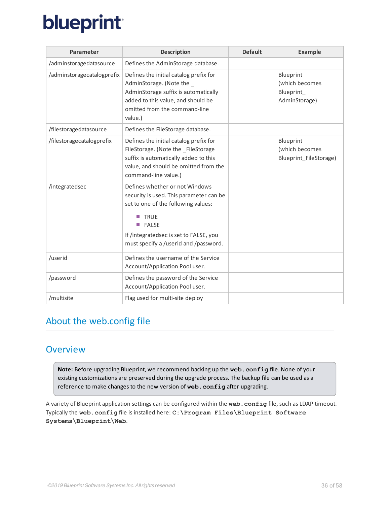| <b>Parameter</b>           | <b>Description</b>                                                                                                                                                                                                                      | <b>Default</b> | <b>Example</b>                                            |
|----------------------------|-----------------------------------------------------------------------------------------------------------------------------------------------------------------------------------------------------------------------------------------|----------------|-----------------------------------------------------------|
| /adminstoragedatasource    | Defines the AdminStorage database.                                                                                                                                                                                                      |                |                                                           |
| /adminstoragecatalogprefix | Defines the initial catalog prefix for<br>AdminStorage. (Note the<br>AdminStorage suffix is automatically<br>added to this value, and should be<br>omitted from the command-line<br>value.)                                             |                | Blueprint<br>(which becomes<br>Blueprint<br>AdminStorage) |
| /filestoragedatasource     | Defines the FileStorage database.                                                                                                                                                                                                       |                |                                                           |
| /filestoragecatalogprefix  | Defines the initial catalog prefix for<br>FileStorage. (Note the _FileStorage<br>suffix is automatically added to this<br>value, and should be omitted from the<br>command-line value.)                                                 |                | Blueprint<br>(which becomes<br>Blueprint_FileStorage)     |
| /integratedsec             | Defines whether or not Windows<br>security is used. This parameter can be<br>set to one of the following values:<br><b>TRUE</b><br><b>FALSE</b><br>П<br>If /integratedsec is set to FALSE, you<br>must specify a /userid and /password. |                |                                                           |
| /userid                    | Defines the username of the Service<br>Account/Application Pool user.                                                                                                                                                                   |                |                                                           |
| /password                  | Defines the password of the Service<br>Account/Application Pool user.                                                                                                                                                                   |                |                                                           |
| /multisite                 | Flag used for multi-site deploy                                                                                                                                                                                                         |                |                                                           |

## <span id="page-35-1"></span><span id="page-35-0"></span>About the web.config file

## **Overview**

**Note:** Before upgrading Blueprint, we recommend backing up the **web.config** file. None of your existing customizations are preserved during the upgrade process. The backup file can be used as a reference to make changes to the new version of **web.config** after upgrading.

A variety of Blueprint application settings can be configured within the **web.config** file, such as LDAP timeout. Typically the **web.config** file is installed here: **C:\Program Files\Blueprint Software Systems\Blueprint\Web**.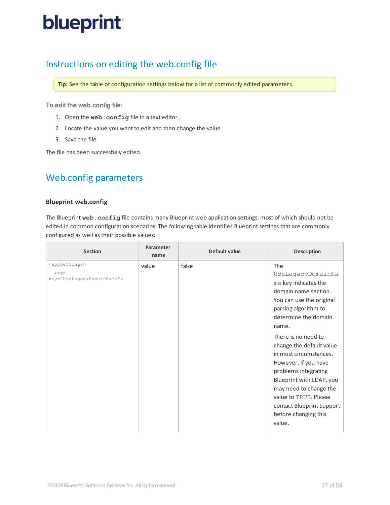## <span id="page-36-0"></span>Instructions on editing the web.config file

**Tip:** See the table of configuration settings below for a list of commonly edited parameters.

### To edit the web.config file:

- 1. Open the **web.config** file in a text editor.
- 2. Locate the value you want to edit and then change the value.
- 3. Save the file.

<span id="page-36-1"></span>The file has been successfully edited.

## Web.config parameters

### <span id="page-36-2"></span>**Blueprint web.config**

The Blueprint **web.config** file contains many Blueprint web application settings, most of which should not be edited in common configuration scenarios. The following table identifies Blueprint settings that are commonly configured as well as their possible values:

| <b>Section</b>                                                                 | Parameter<br>name | Default value | <b>Description</b>                                                                                                                                                                                                                                                                                                                                                                                                                       |
|--------------------------------------------------------------------------------|-------------------|---------------|------------------------------------------------------------------------------------------------------------------------------------------------------------------------------------------------------------------------------------------------------------------------------------------------------------------------------------------------------------------------------------------------------------------------------------------|
| <appsettings><br/><add<br>key="UseLegacyDomainName"&gt;</add<br></appsettings> | value             | false         | The<br>UseLegacyDomainNa<br>me key indicates the<br>domain name section.<br>You can use the original<br>parsing algorithm to<br>determine the domain<br>name.<br>There is no need to<br>change the default value<br>in most circumstances.<br>However, if you have<br>problems integrating<br>Blueprint with LDAP, you<br>may need to change the<br>value to TRUE. Please<br>contact Blueprint Support<br>before changing this<br>value. |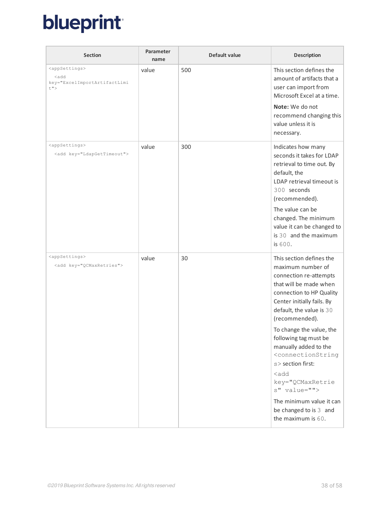| <b>Section</b>                                                                                        | Parameter<br>name | Default value | <b>Description</b>                                                                                                                                                                                                                                                                                                                                                                                                                                                                                          |
|-------------------------------------------------------------------------------------------------------|-------------------|---------------|-------------------------------------------------------------------------------------------------------------------------------------------------------------------------------------------------------------------------------------------------------------------------------------------------------------------------------------------------------------------------------------------------------------------------------------------------------------------------------------------------------------|
| <appsettings><br/><add<br>key="ExcelImportArtifactLimi<br/><math>t</math>"&gt;</add<br></appsettings> | value             | 500           | This section defines the<br>amount of artifacts that a<br>user can import from<br>Microsoft Excel at a time.<br>Note: We do not<br>recommend changing this<br>value unless it is<br>necessary.                                                                                                                                                                                                                                                                                                              |
| <appsettings><br/><add key="LdapGetTimeout"></add></appsettings>                                      | value             | 300           | Indicates how many<br>seconds it takes for LDAP<br>retrieval to time out. By<br>default, the<br>LDAP retrieval timeout is<br>300 seconds<br>(recommended).<br>The value can be<br>changed. The minimum<br>value it can be changed to<br>is 30 and the maximum<br>is 600.                                                                                                                                                                                                                                    |
| <appsettings><br/><add key="QCMaxRetries"></add></appsettings>                                        | value             | 30            | This section defines the<br>maximum number of<br>connection re-attempts<br>that will be made when<br>connection to HP Quality<br>Center initially fails. By<br>default, the value is 30<br>(recommended).<br>To change the value, the<br>following tag must be<br>manually added to the<br><connectionstring<br>s&gt; section first:<br/><math>&lt;</math>add<br/>key="QCMaxRetrie<br/>s" value=""&gt;<br/>The minimum value it can<br/>be changed to is 3 and<br/>the maximum is 60.</connectionstring<br> |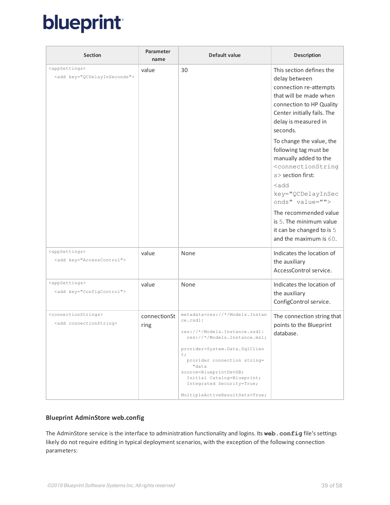| <b>Section</b>                                                              | Parameter<br>name    | Default value                                                                                                                                                                                                                                                                                                     | <b>Description</b>                                                                                                                                                                           |
|-----------------------------------------------------------------------------|----------------------|-------------------------------------------------------------------------------------------------------------------------------------------------------------------------------------------------------------------------------------------------------------------------------------------------------------------|----------------------------------------------------------------------------------------------------------------------------------------------------------------------------------------------|
| <appsettings><br/><add key="QCDelayInSeconds"></add></appsettings>          | value                | 30                                                                                                                                                                                                                                                                                                                | This section defines the<br>delay between<br>connection re-attempts<br>that will be made when<br>connection to HP Quality<br>Center initially fails. The<br>delay is measured in<br>seconds. |
|                                                                             |                      |                                                                                                                                                                                                                                                                                                                   | To change the value, the<br>following tag must be<br>manually added to the<br><connectionstring<br>s&gt; section first:</connectionstring<br>                                                |
|                                                                             |                      |                                                                                                                                                                                                                                                                                                                   | $<$ add<br>key="QCDelayInSec<br>onds" value="">                                                                                                                                              |
|                                                                             |                      |                                                                                                                                                                                                                                                                                                                   | The recommended value<br>is 5. The minimum value<br>it can be changed to is 5<br>and the maximum is 60.                                                                                      |
| <appsettings><br/><add key="AccessControl"></add></appsettings>             | value                | None                                                                                                                                                                                                                                                                                                              | Indicates the location of<br>the auxiliary<br>AccessControl service.                                                                                                                         |
| <appsettings><br/><add key="ConfigControl"></add></appsettings>             | value                | None                                                                                                                                                                                                                                                                                                              | Indicates the location of<br>the auxiliary<br>ConfigControl service.                                                                                                                         |
| <connectionstrings><br/><add connectionstring=""></add></connectionstrings> | connectionSt<br>ring | metadata=res://*/Models.Instan<br>ce.csdl <br>res://*/Models.Instance.ssdl <br>res://*/Models.Instance.msl;<br>provider=System.Data.SqlClien<br>t;<br>provider connection string=<br>"data<br>source=BlueprintDevDB;<br>Initial Catalog=Blueprint;<br>Integrated Security=True;<br>MultipleActiveResultSets=True; | The connection string that<br>points to the Blueprint<br>database.                                                                                                                           |

### <span id="page-38-0"></span>**Blueprint AdminStore web.config**

The AdminStore service is the interface to administration functionality and logins. Its **web.config** file's settings likely do not require editing in typical deployment scenarios, with the exception of the following connection parameters: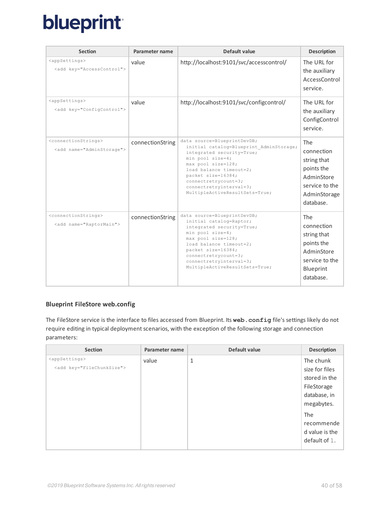| <b>Section</b>                                                              | Parameter name   | Default value                                                                                                                                                                                                                                                                       | <b>Description</b>                                                                                          |
|-----------------------------------------------------------------------------|------------------|-------------------------------------------------------------------------------------------------------------------------------------------------------------------------------------------------------------------------------------------------------------------------------------|-------------------------------------------------------------------------------------------------------------|
| <appsettings><br/><add key="AccessControl"></add></appsettings>             | value            | http://localhost:9101/svc/accesscontrol/                                                                                                                                                                                                                                            | The URL for<br>the auxiliary<br>AccessControl<br>service.                                                   |
| <appsettings><br/><add key="ConfigControl"></add></appsettings>             | value            | http://localhost:9101/svc/configcontrol/                                                                                                                                                                                                                                            | The URL for<br>the auxiliary<br>ConfigControl<br>service.                                                   |
| <connectionstrings><br/><add name="AdminStorage"></add></connectionstrings> | connectionString | data source=BlueprintDevDB;<br>initial catalog=Blueprint AdminStorage;<br>integrated security=True;<br>min pool size=4;<br>max pool size=128;<br>load balance timeout=2;<br>packet size=16384;<br>$connectrrycount=3;$<br>connectretryinterval=3;<br>MultipleActiveResultSets=True; | The<br>connection<br>string that<br>points the<br>AdminStore<br>service to the<br>AdminStorage<br>database. |
| <connectionstrings><br/><add name="RaptorMain"></add></connectionstrings>   | connectionString | data source=BlueprintDevDB;<br>initial catalog=Raptor;<br>integrated security=True;<br>min pool size=4;<br>max pool size=128;<br>load balance timeout=2;<br>packet size=16384;<br>$connectrrycount=3;$<br>connectretryinterval=3;<br>MultipleActiveResultSets=True;                 | The<br>connection<br>string that<br>points the<br>AdminStore<br>service to the<br>Blueprint<br>database.    |

### <span id="page-39-0"></span>**Blueprint FileStore web.config**

The FileStore service is the interface to files accessed from Blueprint. Its **web.config** file's settings likely do not require editing in typical deployment scenarios, with the exception of the following storage and connection parameters:

| <b>Section</b>                  | Parameter name | Default value | <b>Description</b> |
|---------------------------------|----------------|---------------|--------------------|
| <appsettings></appsettings>     | value          | $\mathbf{1}$  | The chunk          |
| <add key="FileChunkSize"></add> |                |               | size for files     |
|                                 |                |               | stored in the      |
|                                 |                |               | FileStorage        |
|                                 |                |               | database, in       |
|                                 |                |               | megabytes.         |
|                                 |                |               | The                |
|                                 |                |               | recommende         |
|                                 |                |               | d value is the     |
|                                 |                |               | default of 1.      |
|                                 |                |               |                    |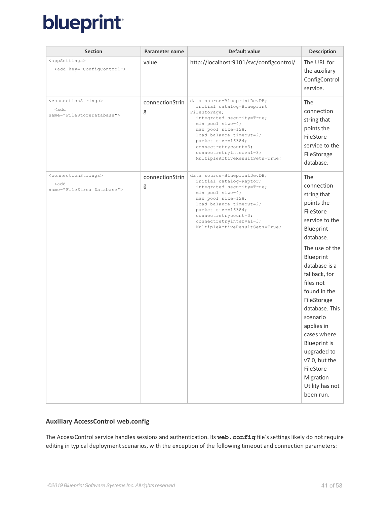| <b>Section</b>                                                                             | Parameter name       | Default value                                                                                                                                                                                                                                                                         | <b>Description</b>                                                                                                                                                                                                                                                              |
|--------------------------------------------------------------------------------------------|----------------------|---------------------------------------------------------------------------------------------------------------------------------------------------------------------------------------------------------------------------------------------------------------------------------------|---------------------------------------------------------------------------------------------------------------------------------------------------------------------------------------------------------------------------------------------------------------------------------|
| <appsettings><br/><add key="ConfigControl"></add></appsettings>                            | value                | http://localhost:9101/svc/configcontrol/                                                                                                                                                                                                                                              | The URL for<br>the auxiliary<br>ConfigControl<br>service.                                                                                                                                                                                                                       |
| <connectionstrings><br/><add<br>name="FileStoreDatabase"&gt;</add<br></connectionstrings>  | connectionStrin<br>g | data source=BlueprintDevDB;<br>initial catalog=Blueprint<br>FileStorage;<br>integrated security=True;<br>min pool size=4;<br>max pool size=128;<br>load balance timeout=2;<br>packet size=16384;<br>connectretrycount=3;<br>connectretryinterval=3;<br>MultipleActiveResultSets=True; | The<br>connection<br>string that<br>points the<br>FileStore<br>service to the<br>FileStorage<br>database.                                                                                                                                                                       |
| <connectionstrings><br/><add<br>name="FileStreamDatabase"&gt;</add<br></connectionstrings> | connectionStrin<br>g | data source=BlueprintDevDB;<br>initial catalog=Raptor;<br>integrated security=True;<br>min pool $size=4;$<br>max pool size=128;<br>load balance timeout=2;<br>packet size=16384;<br>connectretrycount=3;<br>connectretryinterval=3;<br>MultipleActiveResultSets=True;                 | The<br>connection<br>string that<br>points the<br>FileStore<br>service to the<br>Blueprint<br>database.<br>The use of the<br>Blueprint<br>database is a<br>fallback, for<br>files not<br>found in the<br>FileStorage<br>database. This<br>scenario<br>applies in<br>cases where |
|                                                                                            |                      |                                                                                                                                                                                                                                                                                       | <b>Blueprint is</b><br>upgraded to<br>v7.0, but the<br>FileStore<br>Migration<br>Utility has not<br>been run.                                                                                                                                                                   |

### <span id="page-40-0"></span>**Auxiliary AccessControl web.config**

The AccessControl service handles sessions and authentication. Its **web.config** file's settings likely do not require editing in typical deployment scenarios, with the exception of the following timeout and connection parameters: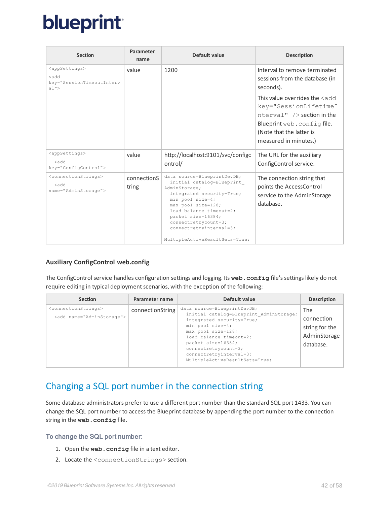| <b>Section</b>                                                                     | Parameter<br>name    | Default value                                                                                                                                                                                                                                                                            | <b>Description</b>                                                                                                                                                                                                                                             |
|------------------------------------------------------------------------------------|----------------------|------------------------------------------------------------------------------------------------------------------------------------------------------------------------------------------------------------------------------------------------------------------------------------------|----------------------------------------------------------------------------------------------------------------------------------------------------------------------------------------------------------------------------------------------------------------|
| <appsettings><br/><add<br>key="SessionTimeoutInterv<br/>a1"</add<br></appsettings> | value                | 1200                                                                                                                                                                                                                                                                                     | Interval to remove terminated<br>sessions from the database (in<br>seconds).<br>This value overrides the $\leq$ add<br>key="SessionLifetimeI<br>$nterval"$ /> section in the<br>Blueprint web.configfile.<br>(Note that the latter is<br>measured in minutes.) |
| <appsettings><br/>hb s&gt;<br/>key="ConfigControl"&gt;</appsettings>               | value                | http://localhost:9101/svc/configc<br>ontrol/                                                                                                                                                                                                                                             | The URL for the auxiliary<br>ConfigControl service.                                                                                                                                                                                                            |
| <connectionstrings><br/>kh s&gt;<br/>name="AdminStorage"&gt;</connectionstrings>   | connectionS<br>tring | data source=BlueprintDevDB;<br>initial catalog=Blueprint<br>AdminStorage;<br>integrated security=True;<br>min pool size=4;<br>max pool size=128;<br>load balance timeout=2;<br>packet size=16384;<br>$connectretrycount=3;$<br>connectretryinterval=3;<br>MultipleActiveResultSets=True; | The connection string that<br>points the AccessControl<br>service to the AdminStorage<br>database.                                                                                                                                                             |

### <span id="page-41-0"></span>**Auxiliary ConfigControl web.config**

The ConfigControl service handles configuration settings and logging. Its **web.config** file's settings likely do not require editing in typical deployment scenarios, with the exception of the following:

| <b>Section</b>                                                              | Parameter name   | Default value                                                                                                                                                                                                                                                                         | <b>Description</b>                                               |
|-----------------------------------------------------------------------------|------------------|---------------------------------------------------------------------------------------------------------------------------------------------------------------------------------------------------------------------------------------------------------------------------------------|------------------------------------------------------------------|
| <connectionstrings><br/><add name="AdminStorage"></add></connectionstrings> | connectionString | data source=BlueprintDevDB;<br>initial catalog=Blueprint AdminStorage;<br>integrated security=True;<br>min pool size=4;<br>max pool size=128;<br>load balance timeout=2;<br>packet size=16384;<br>$connectretrycount=3;$<br>connectretryinterval=3;<br>MultipleActiveResultSets=True; | The<br>connection<br>string for the<br>AdminStorage<br>database. |

## <span id="page-41-1"></span>Changing a SQL port number in the connection string

Some database administrators prefer to use a different port number than the standard SQL port 1433. You can change the SQL port number to access the Blueprint database by appending the port number to the connection string in the **web.config** file.

### To change the SQL port number:

- 1. Open the **web.config** file in a text editor.
- 2. Locate the <connectionStrings> section.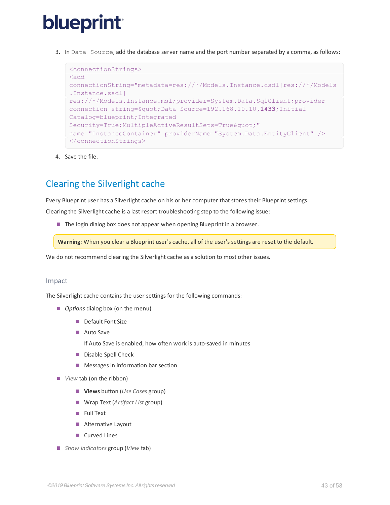3. In Data Source, add the database server name and the port number separated by a comma, as follows:

```
<connectionStrings>
<add
connectionString="metadata=res://*/Models.Instance.csdl|res://*/Models
.Instance.ssdl|
res://*/Models.Instance.msl;provider=System.Data.SqlClient;provider
connection string=" Data Source=192.168.10.10,1433; Initial
Catalog=blueprint;Integrated
Security=True; MultipleActiveResultSets=True & quot; "
name="InstanceContainer" providerName="System.Data.EntityClient" />
</connectionStrings>
```
4. Save the file.

## <span id="page-42-0"></span>Clearing the Silverlight cache

Every Blueprint user has a Silverlight cache on his or her computer that stores their Blueprint settings.

Clearing the Silverlight cache is a last resort troubleshooting step to the following issue:

The login dialog box does not appear when opening Blueprint in a browser.

**Warning:** When you clear a Blueprint user's cache, all of the user's settings are reset to the default.

We do not recommend clearing the Silverlight cache as a solution to most other issues.

### <span id="page-42-1"></span>Impact

The Silverlight cache contains the user settings for the following commands:

- *Options* dialog box (on the menu)
	- Default Font Size
	- Auto Save
		- If Auto Save is enabled, how often work is auto-saved in minutes
	- Disable Spell Check
	- **Messages in information bar section**
- *View* tab (on the ribbon)
	- **Views** button (*Use Cases* group)
	- Wrap Text (Artifact List group)
	- **Full Text**
	- **Alternative Layout**
	- Curved Lines
- *Show Indicators* group (*View* tab)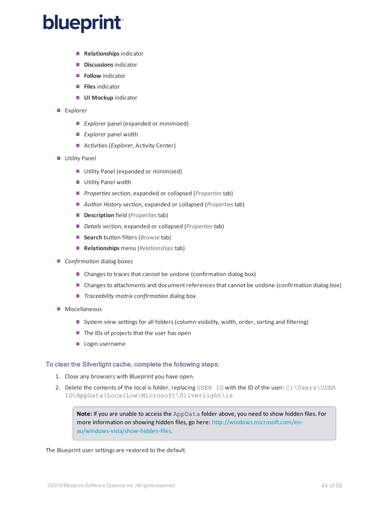- **Relationships** indicator
- **Discussions** indicator
- **Follow** indicator
- **Files** indicator
- **UI Mockup** indicator
- Explorer
	- **Explorer panel (expanded or minimized)**
	- *Explorer* panel width
	- **Activities (Explorer, Activity Center)**
- **Utility Panel** 
	- **Utility Panel (expanded or minimized)**
	- **Utility Panel width**
	- *Properties* section, expanded or collapsed (*Properties* tab)
	- *Author History* section, expanded or collapsed (*Properties* tab)
	- **Description** field (*Properties* tab)
	- *Details* section, expanded or collapsed (*Properties* tab)
	- **Search** button filters (*Browse* tab)
	- **Relationships** menu (*Relationships* tab)
- *Confirmation* dialog boxes
	- Changes to traces that cannot be undone (confirmation dialog box)
	- **Changes to attachments and document references that cannot be undone (confirmation dialog box)**
	- *Traceability matrix confirmation* dialog box
- **Miscellaneous** 
	- System view settings for all folders (column visibility, width, order, sorting and filtering)
	- The IDs of projects that the user has open
	- Login username

### To clear the Silverlight cache, complete the following steps:

- 1. Close any browsers with Blueprint you have open.
- 2. Delete the contents of the local is folder, replacing USER ID with the ID of the user:  $C:\Upsilon\to\Upsilon$ ID\AppData\LocalLow\Microsoft\Silverlight\is

**Note:** If you are unable to access the AppData folder above, you need to show hidden files. For more information on showing hidden files, go here: [http://windows.microsoft.com/en](http://windows.microsoft.com/en-au/windows-vista/show-hidden-files)[au/windows-vista/show-hidden-files](http://windows.microsoft.com/en-au/windows-vista/show-hidden-files).

The Blueprint user settings are restored to the default.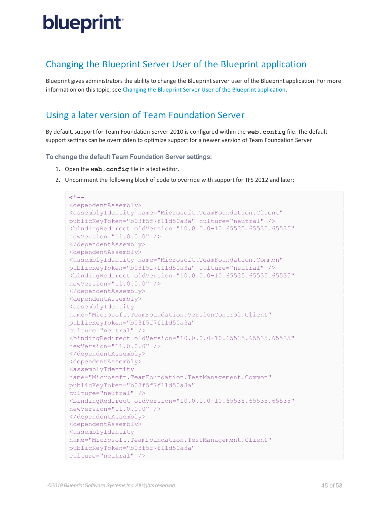## <span id="page-44-0"></span>Changing the Blueprint Server User of the Blueprint application

Blueprint gives administrators the ability to change the Blueprint server user of the Blueprint application. For more information on this topic, see Changing the Blueprint Server User of the Blueprint [application](#page-30-0).

## <span id="page-44-1"></span>Using a later version of Team Foundation Server

By default, support for Team Foundation Server 2010 is configured within the **web.config** file. The default support settings can be overridden to optimize support for a newer version of Team Foundation Server.

### To change the default Team Foundation Server settings:

- 1. Open the **web.config** file in a text editor.
- 2. Uncomment the following block of code to override with support for TFS 2012 and later:

```
2! - -<dependentAssembly>
<assemblyIdentity name="Microsoft.TeamFoundation.Client"
publicKeyToken="b03f5f7f11d50a3a" culture="neutral" />
<bindingRedirect oldVersion="10.0.0.0-10.65535.65535.65535"
newVersion="11.0.0.0" />
</dependentAssembly>
<dependentAssembly>
<assemblyIdentity name="Microsoft.TeamFoundation.Common"
publicKeyToken="b03f5f7f11d50a3a" culture="neutral" />
<bindingRedirect oldVersion="10.0.0.0-10.65535.65535.65535"
newVersion="11.0.0.0" />
</dependentAssembly>
<dependentAssembly>
<assemblyIdentity
name="Microsoft.TeamFoundation.VersionControl.Client"
publicKeyToken="b03f5f7f11d50a3a"
culture="neutral" />
<bindingRedirect oldVersion="10.0.0.0-10.65535.65535.65535"
newVersion="11.0.0.0" />
</dependentAssembly>
<dependentAssembly>
<assemblyIdentity
name="Microsoft.TeamFoundation.TestManagement.Common"
publicKeyToken="b03f5f7f11d50a3a"
culture="neutral" />
<bindingRedirect oldVersion="10.0.0.0-10.65535.65535.65535"
newVersion="11.0.0.0" />
</dependentAssembly>
<dependentAssembly>
<assemblyIdentity
name="Microsoft.TeamFoundation.TestManagement.Client"
publicKeyToken="b03f5f7f11d50a3a"
culture="neutral" />
```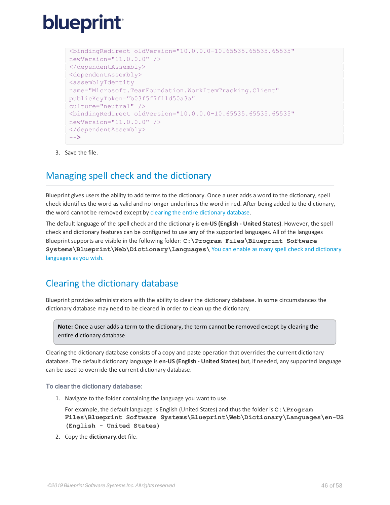```
<bindingRedirect oldVersion="10.0.0.0-10.65535.65535.65535"
newVersion="11.0.0.0" />
</dependentAssembly>
<dependentAssembly>
<assemblyIdentity
name="Microsoft.TeamFoundation.WorkItemTracking.Client"
publicKeyToken="b03f5f7f11d50a3a"
culture="neutral" />
<bindingRedirect oldVersion="10.0.0.0-10.65535.65535.65535"
newVersion="11.0.0.0" />
</dependentAssembly>
-->
```
<span id="page-45-0"></span>3. Save the file.

## Managing spell check and the dictionary

Blueprint gives users the ability to add terms to the dictionary. Once a user adds a word to the dictionary, spell check identifies the word as valid and no longer underlines the word in red. After being added to the dictionary, the word cannot be removed except by clearing the entire [dictionary](#page-45-1) database.

The default language of the spell check and the dictionary is **en-US (English - United States)**. However, the spell check and dictionary features can be configured to use any of the supported languages. All of the languages Blueprint supports are visible in the following folder:  $C:\Perogram$  **Files\Blueprint** Software **Systems\Blueprint\Web\Dictionary\Languages\** You can enable as many spell check and [dictionary](#page-47-0) [languages](#page-47-0) as you wish.

## <span id="page-45-1"></span>Clearing the dictionary database

Blueprint provides administrators with the ability to clear the dictionary database. In some circumstances the dictionary database may need to be cleared in order to clean up the dictionary.

**Note:** Once a user adds a term to the dictionary, the term cannot be removed except by clearing the entire dictionary database.

Clearing the dictionary database consists of a copy and paste operation that overrides the current dictionary database. The default dictionary language is **en-US (English - United States)** but, if needed, any supported language can be used to override the current dictionary database.

### To clear the dictionary database:

1. Navigate to the folder containing the language you want to use.

For example, the default language is English (United States) and thus the folder is **C:\Program Files\Blueprint Software Systems\Blueprint\Web\Dictionary\Languages\en-US (English - United States)**

2. Copy the **dictionary.dct** file.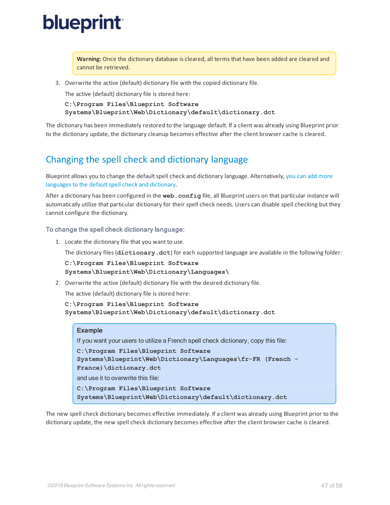**Warning:** Once the dictionary database is cleared, all terms that have been added are cleared and cannot be retrieved.

3. Overwrite the active (default) dictionary file with the copied dictionary file.

The active (default) dictionary file is stored here:

**C:\Program Files\Blueprint Software Systems\Blueprint\Web\Dictionary\default\dictionary.dct**

The dictionary has been immediately restored to the language default. If a client was already using Blueprint prior to the dictionary update, the dictionary cleanup becomes effective after the client browser cache is cleared.

## <span id="page-46-0"></span>Changing the spell check and dictionary language

Blueprint allows you to change the default spell check and dictionary language. Alternatively, you can add [more](#page-47-0) languages to the default spell check and dictionary.

After a dictionary has been configured in the **web.config** file, all Blueprint users on that particular instance will automatically utilize that particular dictionary for their spell check needs. Users can disable spell checking but they cannot configure the dictionary.

### To change the spell check dictionary language:

1. Locate the dictionary file that you want to use.

The dictionary files (**dictionary.dct**) for each supported language are available in the following folder:

**C:\Program Files\Blueprint Software**

**Systems\Blueprint\Web\Dictionary\Languages\**

2. Overwrite the active (default) dictionary file with the desired dictionary file.

The active (default) dictionary file is stored here:

```
C:\Program Files\Blueprint Software
Systems\Blueprint\Web\Dictionary\default\dictionary.dct
```
### Example

If you want your users to utilize a French spell check dictionary, copy this file:

```
C:\Program Files\Blueprint Software
```

```
Systems\Blueprint\Web\Dictionary\Languages\fr-FR (French -
```
**France)\dictionary.dct**

and use it to overwrite this file:

```
C:\Program Files\Blueprint Software
Systems\Blueprint\Web\Dictionary\default\dictionary.dct
```
The new spell check dictionary becomes effective immediately. If a client was already using Blueprint prior to the dictionary update, the new spell check dictionary becomes effective after the client browser cache is cleared.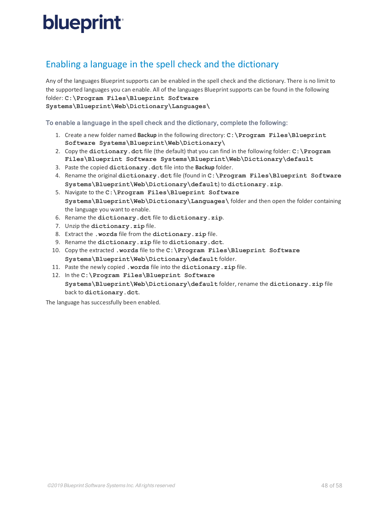## <span id="page-47-0"></span>Enabling a language in the spell check and the dictionary

Any of the languages Blueprint supports can be enabled in the spell check and the dictionary. There is no limit to the supported languages you can enable. All of the languages Blueprint supports can be found in the following folder: **C:\Program Files\Blueprint Software Systems\Blueprint\Web\Dictionary\Languages\**

To enable a language in the spell check and the dictionary, complete the following:

- 1. Create a new folder named **Backup** in the following directory: **C:\Program Files\Blueprint Software Systems\Blueprint\Web\Dictionary\**
- 2. Copy the **dictionary.dct** file (the default) that you can find in the following folder: **C:\Program Files\Blueprint Software Systems\Blueprint\Web\Dictionary\default**
- 3. Paste the copied **dictionary.dct** file into the **Backup** folder.
- 4. Rename the original **dictionary.dct** file (found in **C:\Program Files\Blueprint Software Systems\Blueprint\Web\Dictionary\default**) to **dictionary.zip**.
- 5. Navigate to the **C:\Program Files\Blueprint Software Systems\Blueprint\Web\Dictionary\Languages\** folder and then open the folder containing the language you want to enable.
- 6. Rename the **dictionary.dct** file to **dictionary.zip**.
- 7. Unzip the **dictionary.zip** file.
- 8. Extract the **.words** file from the **dictionary.zip** file.
- 9. Rename the **dictionary.zip** file to **dictionary.dct**.
- 10. Copy the extracted **.words** file to the **C:\Program Files\Blueprint Software Systems\Blueprint\Web\Dictionary\default** folder.
- 11. Paste the newly copied **.words** file into the **dictionary.zip** file.
- 12. In the **C:\Program Files\Blueprint Software Systems\Blueprint\Web\Dictionary\default** folder, rename the **dictionary.zip** file back to **dictionary.dct**.

The language has successfully been enabled.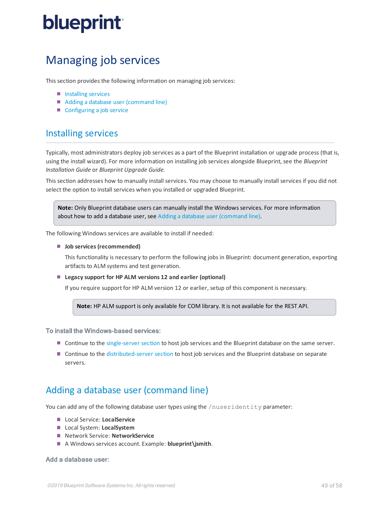## <span id="page-48-0"></span>Managing job services

This section provides the following information on managing job services:

- **[Installing](#page-48-1) services**
- <span id="page-48-1"></span>Adding a database user [\(command](#page-48-2) line)
- [Configuring](#page-56-1) a job service

### Installing services

Typically, most administrators deploy job services as a part of the Blueprint installation or upgrade process (that is, using the install wizard). For more information on installing job services alongside Blueprint, see the *Blueprint Installation Guide* or *Blueprint Upgrade Guide*.

This section addresses how to manually install services. You may choose to manually install services if you did not select the option to install services when you installed or upgraded Blueprint.

**Note:** Only Blueprint database users can manually install the Windows services. For more information about how to add a database user, see Adding a database user [\(command](#page-48-2) line).

The following Windows services are available to install if needed:

**Job services (recommended)**

This functionality is necessary to perform the following jobs in Blueprint: document generation, exporting artifacts to ALM systems and test generation.

**Legacy support for HP ALM versions 12 and earlier (optional)**

If you require support for HP ALM version 12 or earlier, setup of this component is necessary.

**Note:** HP ALM support is only available for COM library. It is not available for the REST API.

### To install the Windows-based services:

- **Continue to the [single-server](#page-49-0) section to host job services and the Blueprint database on the same server.**
- <span id="page-48-2"></span>**Continue to the [distributed-server](#page-52-1) section to host job services and the Blueprint database on separate** servers.

### Adding a database user (command line)

You can add any of the following database user types using the /nuseridentity parameter:

- **Local Service: LocalService**
- Local System: **LocalSystem**
- Network Service: **NetworkService**
- A Windows services account. Example: **blueprint\jsmith**.

### Add a database user: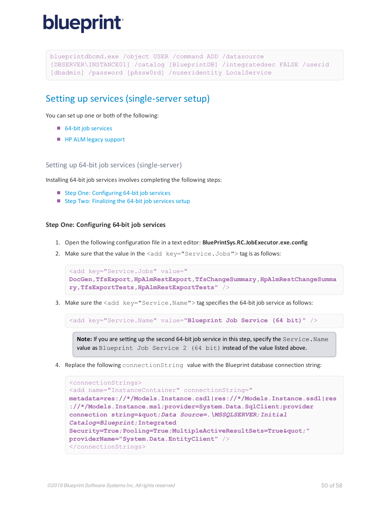```
blueprintdbcmd.exe /object USER /command ADD /datasource
[DBSERVER\INSTANCE01] /catalog [BlueprintDB] /integratedsec FALSE /userid
[dbadmin] /password [pAssw0rd] /nuseridentity LocalService
```
### <span id="page-49-0"></span>Setting up services (single-server setup)

You can set up one or both of the following:

- 64-bit job services
- **[HP ALM](#page-50-1) legacy support**

<span id="page-49-1"></span>Setting up 64-bit job services (single-server)

Installing 64-bit job services involves completing the following steps:

- Step One: [Configuring](#page-49-2) 64-bit job services
- <span id="page-49-2"></span>■ Step Two: [Finalizing](#page-50-0) the 64-bit job services setup

#### **Step One: Configuring 64-bit job services**

- 1. Open the following configuration file in a text editor: **BluePrintSys.RC.JobExecutor.exe.config**
- 2. Make sure that the value in the  $\leq$  add  $key="Service.Jobs"$  tag is as follows:

```
<add key="Service.Jobs" value="
DocGen,TfsExport,HpAlmRestExport,TfsChangeSummary,HpAlmRestChangeSumma
ry,TfsExportTests,HpAlmRestExportTests" />
```
3. Make sure the <add key="Service.Name"> tag specifies the 64-bit job service as follows:

<add key="Service.Name" value="**Blueprint Job Service (64 bit)**" />

**Note:** If you are setting up the second 64-bit job service in this step, specify the Service. Name value as Blueprint Job Service 2 (64 bit) instead of the value listed above.

4. Replace the following connectionString value with the Blueprint database connection string:

```
<connectionStrings>
<add name="InstanceContainer" connectionString="
metadata=res://*/Models.Instance.csdl|res://*/Models.Instance.ssdl|res
://*/Models.Instance.msl;provider=System.Data.SqlClient;provider
connection string="Data Source=.\MSSQLSERVER;Initial
Catalog=Blueprint;Integrated
Security=True; Pooling=True; MultipleActiveResultSets=True" "
providerName="System.Data.EntityClient" />
</connectionStrings>
```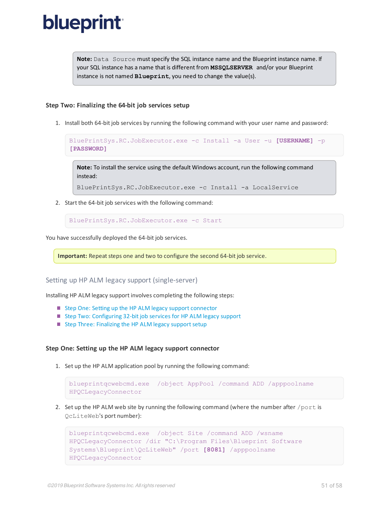Note: Data Source must specify the SQL instance name and the Blueprint instance name. If your SQL instance has a name that is different from **MSSQLSERVER** and/or your Blueprint instance is not named **Blueprint**, you need to change the value(s).

#### <span id="page-50-0"></span>**Step Two: Finalizing the 64-bit job services setup**

1. Install both 64-bit job services by running the following command with your user name and password:

```
BluePrintSys.RC.JobExecutor.exe -c Install -a User -u [USERNAME] -p
[PASSWORD]
```
**Note:** To install the service using the default Windows account, run the following command instead:

```
BluePrintSys.RC.JobExecutor.exe -c Install -a LocalService
```
2. Start the 64-bit job services with the following command:

BluePrintSys.RC.JobExecutor.exe -c Start

You have successfully deployed the 64-bit job services.

Important: Repeat steps one and two to configure the second 64-bit job service.

### <span id="page-50-1"></span>Setting up HP ALM legacy support (single-server)

Installing HP ALM legacy support involves completing the following steps:

- Step One: Setting up the [HP ALM legacy](#page-50-2) support connector
- Step Two: Configuring 32-bit job services for [HP ALM legacy](#page-51-0) support
- <span id="page-50-2"></span>■ Step Three: Finalizing the [HP ALM legacy](#page-52-0) support setup

#### **Step One: Setting up the HP ALM legacy support connector**

1. Set up the HP ALM application pool by running the following command:

```
blueprintqcwebcmd.exe /object AppPool /command ADD /apppoolname
HPQCLegacyConnector
```
2. Set up the HP ALM web site by running the following command (where the number after /port is QcLiteWeb's port number):

```
blueprintqcwebcmd.exe /object Site /command ADD /wsname
HPQCLegacyConnector /dir "C:\Program Files\Blueprint Software
Systems\Blueprint\QcLiteWeb" /port [8081] /apppoolname
HPQCLegacyConnector
```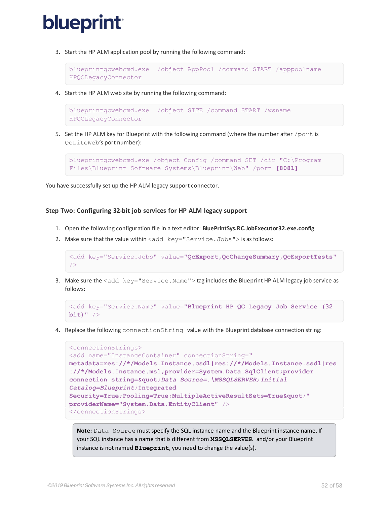3. Start the HP ALM application pool by running the following command:

```
blueprintqcwebcmd.exe /object AppPool /command START /apppoolname
HPQCLegacyConnector
```
4. Start the HP ALM web site by running the following command:

```
blueprintqcwebcmd.exe /object SITE /command START /wsname
HPQCLegacyConnector
```
5. Set the HP ALM key for Blueprint with the following command (where the number after /port is QcLiteWeb's port number):

```
blueprintqcwebcmd.exe /object Config /command SET /dir "C:\Program
Files\Blueprint Software Systems\Blueprint\Web" /port [8081]
```
<span id="page-51-0"></span>You have successfully set up the HP ALM legacy support connector.

### **Step Two: Configuring 32-bit job services for HP ALM legacy support**

- 1. Open the following configuration file in a text editor: **BluePrintSys.RC.JobExecutor32.exe.config**
- 2. Make sure that the value within  $\leq$  add  $key="Service.Jobs"$  is as follows:

```
<add key="Service.Jobs" value="QcExport,QcChangeSummary,QcExportTests"
/>
```
3. Make sure the <add key="Service.Name"> tag includes the Blueprint HP ALM legacy job service as follows:

```
<add key="Service.Name" value="Blueprint HP QC Legacy Job Service (32
bit)" />
```
4. Replace the following connectionString value with the Blueprint database connection string:

```
<connectionStrings>
<add name="InstanceContainer" connectionString="
metadata=res://*/Models.Instance.csdl|res://*/Models.Instance.ssdl|res
://*/Models.Instance.msl;provider=System.Data.SqlClient;provider
connection string="Data Source=.\MSSQLSERVER;Initial
Catalog=Blueprint;Integrated
Security=True; Pooling=True; MultipleActiveResultSets=True""
providerName="System.Data.EntityClient" />
</connectionStrings>
```
**Note:** Data Source mustspecify the SQL instance name and the Blueprint instance name. If your SQL instance has a name that is different from **MSSQLSERVER** and/or your Blueprint instance is not named **Blueprint**, you need to change the value(s).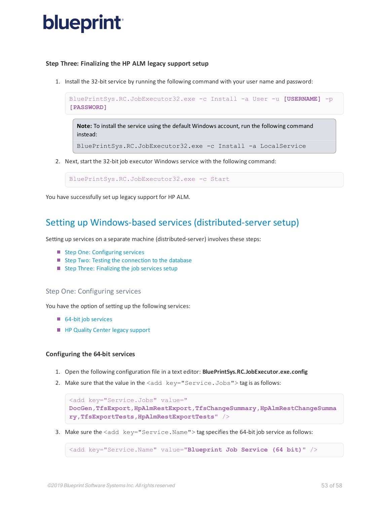### <span id="page-52-0"></span>**Step Three: Finalizing the HP ALM legacy support setup**

1. Install the 32-bit service by running the following command with your user name and password:

```
BluePrintSys.RC.JobExecutor32.exe -c Install -a User -u [USERNAME] -p
[PASSWORD]
```
**Note:** To install the service using the default Windows account, run the following command instead:

```
BluePrintSys.RC.JobExecutor32.exe -c Install -a LocalService
```
2. Next, start the 32-bit job executor Windows service with the following command:

BluePrintSys.RC.JobExecutor32.exe -c Start

<span id="page-52-1"></span>You have successfully set up legacy support for HP ALM.

### Setting up Windows-based services (distributed-server setup)

Setting up services on a separate machine (distributed-server) involves these steps:

- Step One: [Configuring](#page-52-2) services
- Step Two: Testing the [connection](#page-55-0) to the database
- <span id="page-52-2"></span>■ Step Three: [Finalizing](#page-55-1) the job services setup

### Step One: Configuring services

You have the option of setting up the following services:

- 64-bit job services
- **[HP Quality](#page-53-0) Center legacy support**

#### <span id="page-52-3"></span>**Configuring the 64-bit services**

- 1. Open the following configuration file in a text editor: **BluePrintSys.RC.JobExecutor.exe.config**
- 2. Make sure that the value in the  $\leq$  add  $key="Service.Jobs"$  tag is as follows:

```
<add key="Service.Jobs" value="
DocGen,TfsExport,HpAlmRestExport,TfsChangeSummary,HpAlmRestChangeSumma
ry,TfsExportTests,HpAlmRestExportTests" />
```
3. Make sure the  $\lt$ add key="Service. Name" > tag specifies the 64-bit job service as follows:

<add key="Service.Name" value="**Blueprint Job Service (64 bit)**" />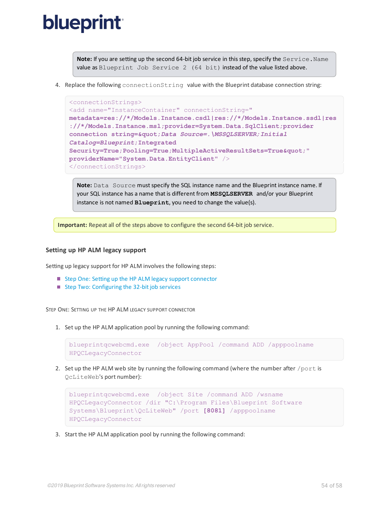Note: If you are setting up the second 64-bit job service in this step, specify the Service. Name value as Blueprint Job Service 2 (64 bit) instead of the value listed above.

4. Replace the following connectionString value with the Blueprint database connection string:

```
<connectionStrings>
<add name="InstanceContainer" connectionString="
metadata=res://*/Models.Instance.csdl|res://*/Models.Instance.ssdl|res
://*/Models.Instance.msl;provider=System.Data.SqlClient;provider
connection string="Data Source=.\MSSQLSERVER;Initial
Catalog=Blueprint;Integrated
Security=True; Pooling=True; MultipleActiveResultSets=True""
providerName="System.Data.EntityClient" />
</connectionStrings>
```
**Note:** Data Source mustspecify the SQL instance name and the Blueprint instance name. If your SQL instance has a name that is different from **MSSQLSERVER** and/or your Blueprint instance is not named **Blueprint**, you need to change the value(s).

**Important:** Repeat all of the steps above to configure the second 64-bit job service.

#### <span id="page-53-0"></span>**Setting up HP ALM legacy support**

Setting up legacy support for HP ALM involves the following steps:

- Step One: Setting up the HP ALM legacy support [connector](#page-53-1)
- <span id="page-53-1"></span>■ Step Two: [Configuring](#page-54-0) the 32-bit job services

STEP ONE: SETTING UP THE HP ALM LEGACY SUPPORT CONNECTOR

1. Set up the HP ALM application pool by running the following command:

```
blueprintqcwebcmd.exe /object AppPool /command ADD /apppoolname
HPQCLegacyConnector
```
2. Set up the HP ALM web site by running the following command (where the number after /port is QcLiteWeb's port number):

```
blueprintqcwebcmd.exe /object Site /command ADD /wsname
HPQCLegacyConnector /dir "C:\Program Files\Blueprint Software
Systems\Blueprint\QcLiteWeb" /port [8081] /apppoolname
HPQCLegacyConnector
```
3. Start the HP ALM application pool by running the following command: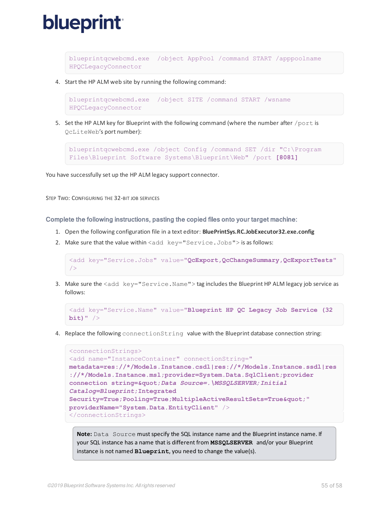

blueprintqcwebcmd.exe /object AppPool /command START /apppoolname HPQCLegacyConnector

4. Start the HP ALM web site by running the following command:

```
blueprintqcwebcmd.exe /object SITE /command START /wsname
HPQCLegacyConnector
```
5. Set the HP ALM key for Blueprint with the following command (where the number after /port is QcLiteWeb's port number):

```
blueprintqcwebcmd.exe /object Config /command SET /dir "C:\Program
Files\Blueprint Software Systems\Blueprint\Web" /port [8081]
```
<span id="page-54-0"></span>You have successfully set up the HP ALM legacy support connector.

STEP TWO: CONFIGURING THE 32-BIT JOB SERVICES

Complete the following instructions, pasting the copied files onto your target machine:

- 1. Open the following configuration file in a text editor: **BluePrintSys.RC.JobExecutor32.exe.config**
- 2. Make sure that the value within  $\leq$  add  $key="Service.Jobs"$  is as follows:

```
<add key="Service.Jobs" value="QcExport,QcChangeSummary,QcExportTests"
/>
```
3. Make sure the <add key="Service.Name"> tag includes the Blueprint HP ALM legacy job service as follows:

```
<add key="Service.Name" value="Blueprint HP QC Legacy Job Service (32
bit)" />
```
4. Replace the following connectionString value with the Blueprint database connection string:

```
<connectionStrings>
<add name="InstanceContainer" connectionString="
metadata=res://*/Models.Instance.csdl|res://*/Models.Instance.ssdl|res
://*/Models.Instance.msl;provider=System.Data.SqlClient;provider
connection string="Data Source=.\MSSQLSERVER;Initial
Catalog=Blueprint;Integrated
Security=True; Pooling=True; MultipleActiveResultSets=True""
providerName="System.Data.EntityClient" />
</connectionStrings>
```
**Note:** Data Source mustspecify the SQL instance name and the Blueprint instance name. If your SQL instance has a name that is different from **MSSQLSERVER** and/or your Blueprint instance is not named **Blueprint**, you need to change the value(s).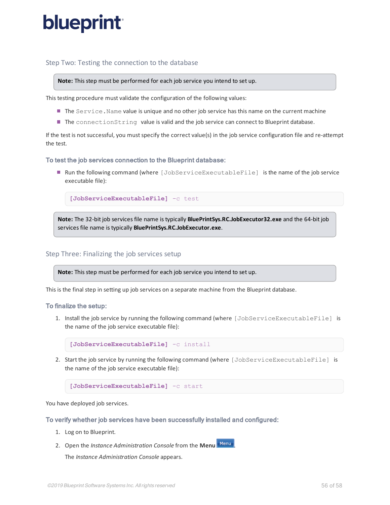### <span id="page-55-0"></span>Step Two: Testing the connection to the database

**Note:** This step must be performed for each job service you intend to set up.

This testing procedure must validate the configuration of the following values:

- The Service. Name value is unique and no other job service has this name on the current machine
- The connectionString value is valid and the job service can connect to Blueprint database.

If the test is not successful, you must specify the correct value(s) in the job service configuration file and re-attempt the test.

### To test the job services connection to the Blueprint database:

■ Run the following command (where [JobServiceExecutableFile] is the name of the job service executable file):

**[JobServiceExecutableFile]** -c test

<span id="page-55-1"></span>**Note:** The 32-bit job services file name is typically **BluePrintSys.RC.JobExecutor32.exe** and the 64-bit job services file name is typically **BluePrintSys.RC.JobExecutor.exe**.

### Step Three: Finalizing the job services setup

**Note:** This step must be performed for each job service you intend to set up.

This is the final step in setting up job services on a separate machine from the Blueprint database.

### To finalize the setup:

1. Install the job service by running the following command (where [JobServiceExecutableFile] is the name of the job service executable file):

**[JobServiceExecutableFile]** -c install

2. Start the job service by running the following command (where [JobServiceExecutableFile] is the name of the job service executable file):

**[JobServiceExecutableFile]** -c start

You have deployed job services.

To verify whether job services have been successfully installed and configured:

- 1. Log on to Blueprint.
- 2. Open the *Instance Administration Console* from the **Menu** .

The *Instance Administration Console* appears.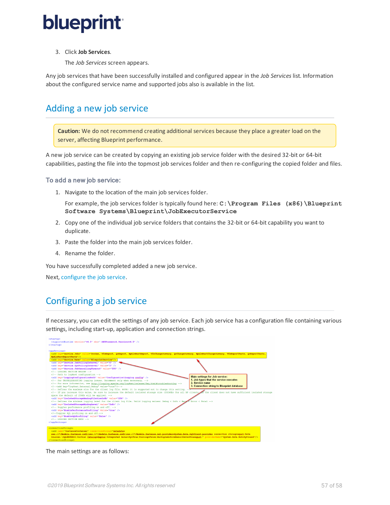

3. Click **Job Services**.

The *Job Services* screen appears.

Any job services that have been successfully installed and configured appear in the *Job Services* list. Information about the configured service name and supported jobs also is available in the list.

## <span id="page-56-0"></span>Adding a new job service

**Caution:** We do not recommend creating additional services because they place a greater load on the server, affecting Blueprint performance.

A new job service can be created by copying an existing job service folder with the desired 32-bit or 64-bit capabilities, pasting the file into the topmost job services folder and then re-configuring the copied folder and files.

### To add a new job service:

1. Navigate to the location of the main job services folder.

For example, the job services folder is typically found here: **C:\Program Files (x86)\Blueprint Software Systems\Blueprint\JobExecutorService**

- 2. Copy one of the individual job service folders that contains the 32-bit or 64-bit capability you want to duplicate.
- 3. Paste the folder into the main job services folder.
- 4. Rename the folder.

<span id="page-56-1"></span>You have successfully completed added a new job service.

<span id="page-56-2"></span>Next, [configure](#page-56-2) the job service.

## Configuring a job service

If necessary, you can edit the settings of any job service. Each job service has a configuration file containing various settings, including start-up, application and connection strings.

| <supportedruntime sku=".NETFramework.Version=v4.5" version="v4.0"></supportedruntime><br>                                                                                                                                                                                                                                                                                                                                                                                                                                                                                                                                                                                                                                                                                                                                                                                                                                                                                                                                                                                                                                                                                                                                                                                                                                                                                                                                                                 |                                                                                                                                                  |
|-----------------------------------------------------------------------------------------------------------------------------------------------------------------------------------------------------------------------------------------------------------------------------------------------------------------------------------------------------------------------------------------------------------------------------------------------------------------------------------------------------------------------------------------------------------------------------------------------------------------------------------------------------------------------------------------------------------------------------------------------------------------------------------------------------------------------------------------------------------------------------------------------------------------------------------------------------------------------------------------------------------------------------------------------------------------------------------------------------------------------------------------------------------------------------------------------------------------------------------------------------------------------------------------------------------------------------------------------------------------------------------------------------------------------------------------------------------|--------------------------------------------------------------------------------------------------------------------------------------------------|
| <appsettings><br/><add kev="Service.Jobs" value="DocGen, TfsExport, OcExport, HpAlmRestExport, TfsChangeSummary, OcChangeSummary, HpAlmRestChangeSummary, TfsExportTests, OcExportTests,&lt;br&gt;HoAlmRestExportTests"></add></appsettings>                                                                                                                                                                                                                                                                                                                                                                                                                                                                                                                                                                                                                                                                                                                                                                                                                                                                                                                                                                                                                                                                                                                                                                                                              |                                                                                                                                                  |
| <add key="Service.Name" value="BlueprintService"></add><br><add key-"service.jobpollinginterval"="" value-"6"=""></add><br><add key="Service.SysPollingInterval" value="3"></add><br><add kev="Service.JobCancellingTimeout" value="300"></add><br>LOGGING SECTION BEGINS<br>Path to log4net configuration<br><add kev="LoggingConfigurationPath" value="Configuration\Logging.config"></add><br>For TROUBLESHOOTING logging issues. Uncomment only when necessary.<br>For more information, see http://logging.apache.org/log4net/release/fag.html#troubleshooting<br><add key="log4net.Internal.Debug" value="true"/><br>Defines the maximum size for the client log file. NOTE: It is suggested not to change this setting. -- 7<br><!-- If you increase this value, be sure to increase the default isolated storage size (1024Kb) for all BP clients in the client does not have sufficient isolated storage<br>space the default of 256Kb will be applied.<br><add kev="IsolatedStorageMaxLogFileSizeInKb" value="256"></add><br>Defines the minimum logging level for the client log file. Valid logging values: Debug < Info < Wary < Error < Fatal<br><add key="IsolatedStorageMinLogLevel" value="Info"></add><br>Toggles performance profiling on and off.<br><add key="EnablePerformanceProfiling" value="true"></add><br>Toggles SOL profiling on and off.<br><add key="EnableSQLProfiling" value="false"></add><br>LOGGING SECTION ENDS<br> | <b>Main settings for Job service:</b><br>1. Job types that the service executes<br>2. Service name<br>3. Connection string to Blueprint database |
| <connectionstrings><br/><add connectionstring="metadata=&lt;br&gt;res://*/Models.Instance.csdl/res://*/Models.Instance.ssdl/res://*/Models.Instance.msl;provider=System.Data.SqlClient;provider connection string=" data<br="" name="InstanceContainer">Source= \SOLEXPRESS:Initial Catalog=Raptor:Integrated Security=True:Pooling=False:MultipleActiveResultSets=TrueGquot:" providerName="System.Data.EntityClient"/&gt;<br/></add></connectionstrings>                                                                                                                                                                                                                                                                                                                                                                                                                                                                                                                                                                                                                                                                                                                                                                                                                                                                                                                                                                                                |                                                                                                                                                  |

The main settings are as follows: